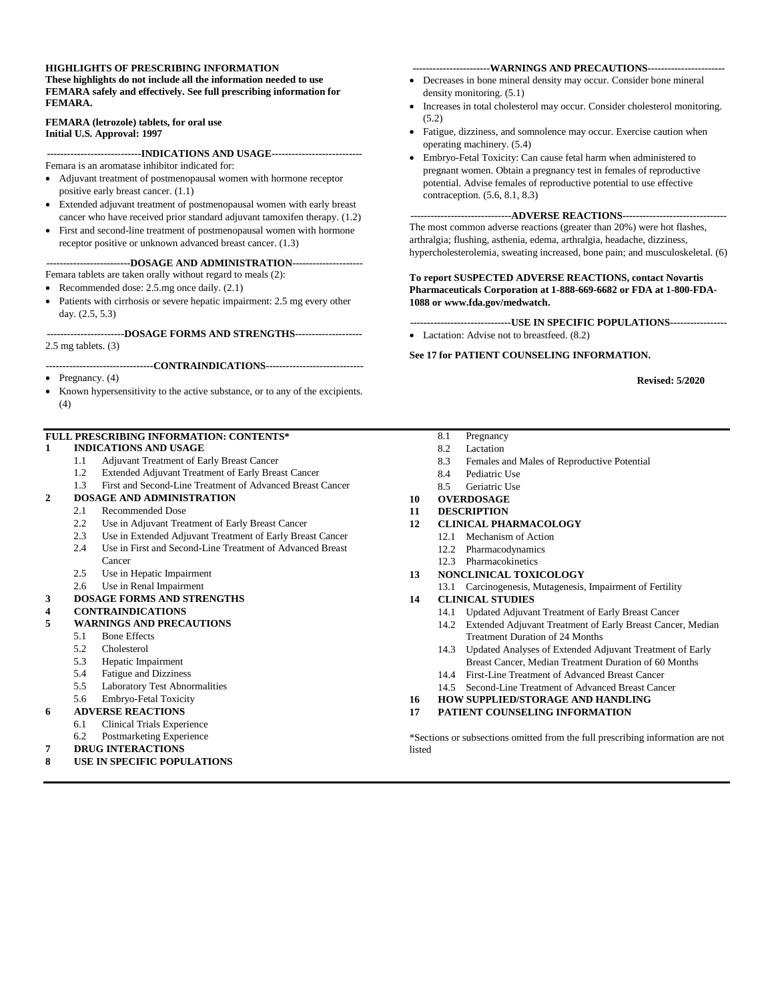#### **HIGHLIGHTS OF PRESCRIBING INFORMATION These highlights do not include all the information needed to use FEMARA safely and effectively. See full prescribing information for FEMARA.**

#### **FEMARA (letrozole) tablets, for oral use Initial U.S. Approval: 1997**

**----------------------------INDICATIONS AND USAGE---------------------------** Femara is an aromatase inhibitor indicated for:

- Adjuvant treatment of postmenopausal women with hormone receptor positive early breast cancer. [\(1.1\)](#page-1-0)
- Extended adjuvant treatment of postmenopausal women with early breast cancer who have received prior standard adjuvant tamoxifen therapy. [\(1.2\)](#page-1-1)
- First and second-line treatment of postmenopausal women with hormone receptor positive or unknown advanced breast cancer. [\(1.3\)](#page-1-2)

#### **-------------------------DOSAGE AND ADMINISTRATION---------------------**

Femara tablets are taken orally without regard to meals [\(2\)](#page-1-3):

- Recommended dose: 2.5.mg once daily.  $(2.1)$
- Patients with cirrhosis or severe hepatic impairment: 2.5 mg every other day. [\(2.5,](#page-1-5) [5.3\)](#page-2-0)

#### **-----------------------DOSAGE FORMS AND STRENGTHS--------------------** 2.5 mg tablets. [\(3\)](#page-2-1)

**--------------------------------CONTRAINDICATIONS-----------------------------**

- Pregnancy.  $(4)$
- Known hypersensitivity to the active substance, or to any of the excipients. [\(4\)](#page-2-2)

#### **FULL PRESCRIBING INFORMATION: CONTENTS\***

- **1 [INDICATIONS AND USAGE](#page-1-6)**
	- 1.1 [Adjuvant Treatment of Early Breast Cancer](#page-1-0)
	- 1.2 [Extended Adjuvant Treatment of Early Breast](#page-1-1) Cancer
	- 1.3 [First and Second-Line Treatment of Advanced Breast Cancer](#page-1-2)
- **2 [DOSAGE AND ADMINISTRATION](#page-1-3)**
	- 2.1 [Recommended Dose](#page-1-4)
		- 2.2 [Use in Adjuvant Treatment of Early Breast Cancer](#page-1-7)
		- 2.3 [Use in Extended Adjuvant Treatment of Early Breast Cancer](#page-1-8)
		- 2.4 [Use in First and Second-Line Treatment of Advanced Breast](#page-1-9)  [Cancer](#page-1-9)
		- 2.5 [Use in Hepatic Impairment](#page-1-5)
		- 2.6 [Use in Renal Impairment](#page-1-10)
- **3 [DOSAGE FORMS AND STRENGTHS](#page-2-1)**

#### **4 [CONTRAINDICATIONS](#page-2-2)**

- **5 [WARNINGS AND PRECAUTIONS](#page-2-6)**
	- 5.1 [Bone Effects](#page-2-3)
		- 5.2 [Cholesterol](#page-2-4)
		- 5.3 [Hepatic Impairment](#page-2-0)
		- 5.4 [Fatigue and Dizziness](#page-2-5)
		- 5.5 [Laboratory Test Abnormalities](#page-2-7)
		- 5.6 [Embryo-Fetal Toxicity](#page-3-0)
- **6 [ADVERSE REACTIONS](#page-3-1)**
	- 6.1 [Clinical Trials Experience](#page-3-2)
	- 6.2 [Postmarketing Experience](#page-10-0)
- **7 [DRUG INTERACTIONS](#page-10-1)**
- **8 [USE IN SPECIFIC POPULATIONS](#page-11-2)**

#### **-----------------------WARNINGS AND PRECAUTIONS-----------------------**

- Decreases in bone mineral density may occur. Consider bone mineral density monitoring. [\(5.1\)](#page-2-3)
- Increases in total cholesterol may occur. Consider cholesterol monitoring. [\(5.2\)](#page-2-4)
- Fatigue, dizziness, and somnolence may occur. Exercise caution when operating machinery. [\(5.4\)](#page-2-5)
- Embryo-Fetal Toxicity: Can cause fetal harm when administered to pregnant women. Obtain a pregnancy test in females of reproductive potential. Advise females of reproductive potential to use effective contraception. [\(5.6,](#page-3-0) [8.1,](#page-11-0) [8.3\)](#page-12-0)

#### **------------------------------ADVERSE REACTIONS-------------------------------**

The most common adverse reactions (greater than 20%) were hot flashes, arthralgia; flushing, asthenia, edema, arthralgia, headache, dizziness, hypercholesterolemia, sweating increased, bone pain; and musculoskeletal. [\(6\)](#page-3-1)

#### **To report SUSPECTED ADVERSE REACTIONS, contact Novartis Pharmaceuticals Corporation at 1-888-669-6682 or FDA at 1-800-FDA-1088 o[r www.fda.gov/medwatch.](http://www.fda.gov/medwatch)**

- **------------------------------USE IN SPECIFIC POPULATIONS-----------------**
- Lactation: Advise not to breastfeed.  $(8.2)$

#### **See 17 for PATIENT COUNSELING INFORMATION.**

**Revised: 5/2020**

- 8.1 [Pregnancy](#page-11-0)
- 8.2 [Lactation](#page-11-1)
- 8.3 [Females and Males of Reproductive Potential](#page-12-0)
- 8.4 [Pediatric Use](#page-12-1)
- 8.5 [Geriatric Use](#page-12-2)
- **10 [OVERDOSAGE](#page-13-0)**
- **11 [DESCRIPTION](#page-13-1)**
- **12 [CLINICAL PHARMACOLOGY](#page-13-2)**
	- 12.1 [Mechanism of Action](#page-13-3)
	- 12.2 [Pharmacodynamics](#page-14-0)
	- 12.3 [Pharmacokinetics](#page-14-1)

#### **13 [NONCLINICAL TOXICOLOGY](#page-15-0)**

13.1 [Carcinogenesis, Mutagenesis, Impairment of Fertility](#page-15-1)

#### **14 [CLINICAL STUDIES](#page-15-2)**

- 14.1 [Updated Adjuvant Treatment of Early Breast Cancer](#page-15-3)
- 14.2 [Extended Adjuvant Treatment of Early Breast Cancer, Median](#page-18-0)  [Treatment Duration of 24 Months](#page-18-0)
- 14.3 [Updated Analyses of Extended Adjuvant Treatment of Early](#page-19-0)  [Breast Cancer, Median Treatment Duration of 60 Months](#page-19-0)
- 14.4 [First-Line Treatment of Advanced Breast Cancer](#page-19-1)
- 14.5 [Second-Line Treatment of Advanced Breast Cancer](#page-23-0)
- **16 [HOW SUPPLIED/STORAGE AND HANDLING](#page-26-0)**
- **17 [PATIENT COUNSELING INFORMATION](#page-26-1)**

\*Sections or subsections omitted from the full prescribing information are not listed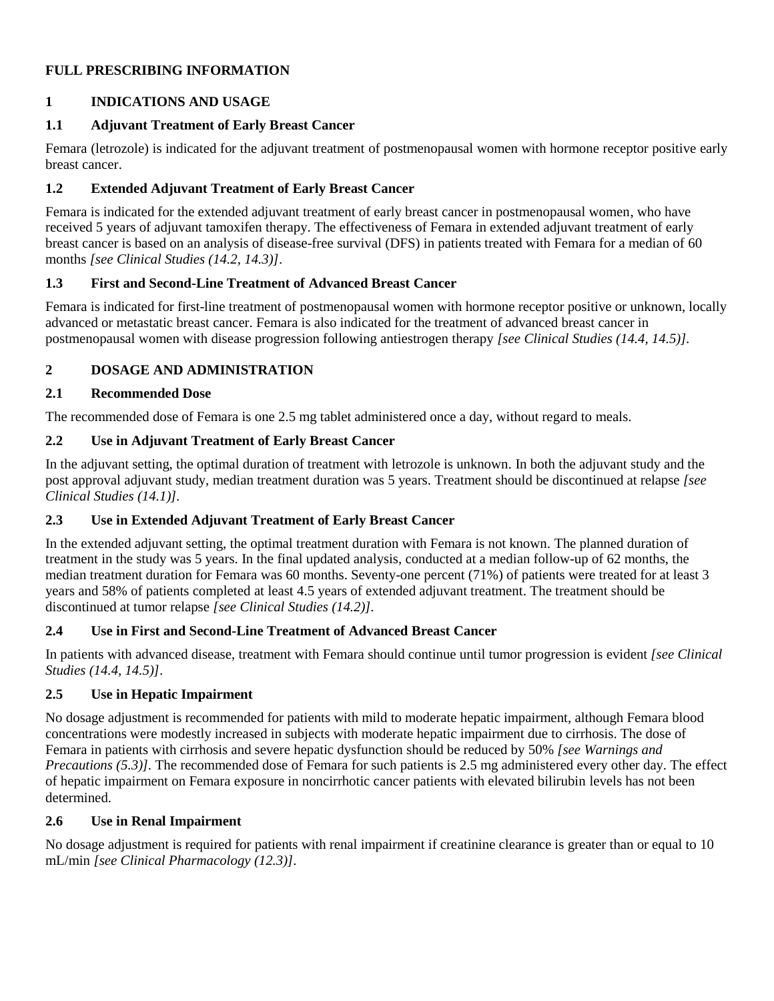# **FULL PRESCRIBING INFORMATION**

# <span id="page-1-6"></span>**1 INDICATIONS AND USAGE**

# <span id="page-1-0"></span>**1.1 Adjuvant Treatment of Early Breast Cancer**

Femara (letrozole) is indicated for the adjuvant treatment of postmenopausal women with hormone receptor positive early breast cancer.

## <span id="page-1-1"></span>**1.2 Extended Adjuvant Treatment of Early Breast Cancer**

Femara is indicated for the extended adjuvant treatment of early breast cancer in postmenopausal women, who have received 5 years of adjuvant tamoxifen therapy. The effectiveness of Femara in extended adjuvant treatment of early breast cancer is based on an analysis of disease-free survival (DFS) in patients treated with Femara for a median of 60 months *[see Clinical Studies (14.2, 14.3)]*.

## <span id="page-1-2"></span>**1.3 First and Second-Line Treatment of Advanced Breast Cancer**

Femara is indicated for first-line treatment of postmenopausal women with hormone receptor positive or unknown, locally advanced or metastatic breast cancer. Femara is also indicated for the treatment of advanced breast cancer in postmenopausal women with disease progression following antiestrogen therapy *[see Clinical Studies (14.4, 14.5)].*

# <span id="page-1-3"></span>**2 DOSAGE AND ADMINISTRATION**

## <span id="page-1-4"></span>**2.1 Recommended Dose**

The recommended dose of Femara is one 2.5 mg tablet administered once a day, without regard to meals.

# <span id="page-1-7"></span>**2.2 Use in Adjuvant Treatment of Early Breast Cancer**

In the adjuvant setting, the optimal duration of treatment with letrozole is unknown. In both the adjuvant study and the post approval adjuvant study, median treatment duration was 5 years. Treatment should be discontinued at relapse *[see Clinical Studies (14.1)].*

## <span id="page-1-8"></span>**2.3 Use in Extended Adjuvant Treatment of Early Breast Cancer**

In the extended adjuvant setting, the optimal treatment duration with Femara is not known. The planned duration of treatment in the study was 5 years. In the final updated analysis, conducted at a median follow-up of 62 months, the median treatment duration for Femara was 60 months. Seventy-one percent (71%) of patients were treated for at least 3 years and 58% of patients completed at least 4.5 years of extended adjuvant treatment. The treatment should be discontinued at tumor relapse *[see Clinical Studies (14.2)].*

## <span id="page-1-9"></span>**2.4 Use in First and Second-Line Treatment of Advanced Breast Cancer**

In patients with advanced disease, treatment with Femara should continue until tumor progression is evident *[see Clinical Studies (14.4, 14.5)]*.

# <span id="page-1-5"></span>**2.5 Use in Hepatic Impairment**

No dosage adjustment is recommended for patients with mild to moderate hepatic impairment, although Femara blood concentrations were modestly increased in subjects with moderate hepatic impairment due to cirrhosis. The dose of Femara in patients with cirrhosis and severe hepatic dysfunction should be reduced by 50% *[see Warnings and Precautions (5.3)].* The recommended dose of Femara for such patients is 2.5 mg administered every other day. The effect of hepatic impairment on Femara exposure in noncirrhotic cancer patients with elevated bilirubin levels has not been determined.

## <span id="page-1-10"></span>**2.6 Use in Renal Impairment**

No dosage adjustment is required for patients with renal impairment if creatinine clearance is greater than or equal to 10 mL/min *[see Clinical Pharmacology (12.3)]*.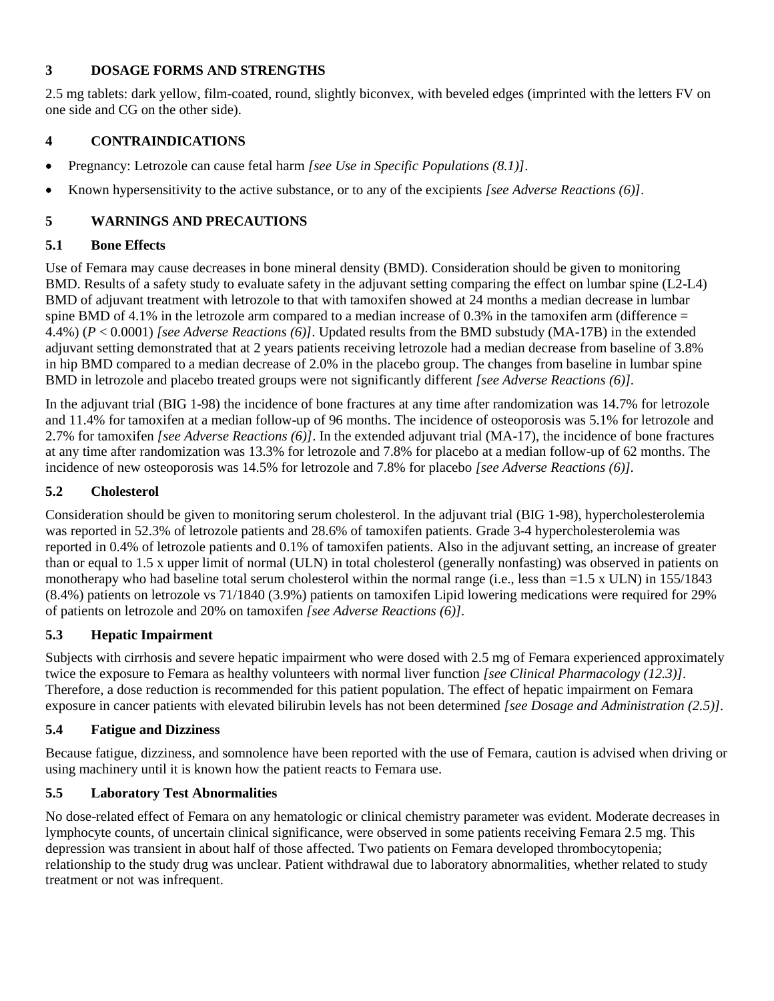## <span id="page-2-1"></span>**3 DOSAGE FORMS AND STRENGTHS**

2.5 mg tablets: dark yellow, film-coated, round, slightly biconvex, with beveled edges (imprinted with the letters FV on one side and CG on the other side).

## <span id="page-2-2"></span>**4 CONTRAINDICATIONS**

- Pregnancy: Letrozole can cause fetal harm *[see Use in Specific Populations (8.1)]*.
- Known hypersensitivity to the active substance, or to any of the excipients *[see Adverse Reactions (6)]*.

# <span id="page-2-6"></span>**5 WARNINGS AND PRECAUTIONS**

## <span id="page-2-3"></span>**5.1 Bone Effects**

Use of Femara may cause decreases in bone mineral density (BMD). Consideration should be given to monitoring BMD. Results of a safety study to evaluate safety in the adjuvant setting comparing the effect on lumbar spine (L2-L4) BMD of adjuvant treatment with letrozole to that with tamoxifen showed at 24 months a median decrease in lumbar spine BMD of 4.1% in the letrozole arm compared to a median increase of 0.3% in the tamoxifen arm (difference  $=$ 4.4%) (*P* < 0.0001) *[see Adverse Reactions (6)]*. Updated results from the BMD substudy (MA-17B) in the extended adjuvant setting demonstrated that at 2 years patients receiving letrozole had a median decrease from baseline of 3.8% in hip BMD compared to a median decrease of 2.0% in the placebo group. The changes from baseline in lumbar spine BMD in letrozole and placebo treated groups were not significantly different *[see Adverse Reactions (6)].*

In the adjuvant trial (BIG 1-98) the incidence of bone fractures at any time after randomization was 14.7% for letrozole and 11.4% for tamoxifen at a median follow-up of 96 months. The incidence of osteoporosis was 5.1% for letrozole and 2.7% for tamoxifen *[see Adverse Reactions (6)]*. In the extended adjuvant trial (MA-17), the incidence of bone fractures at any time after randomization was 13.3% for letrozole and 7.8% for placebo at a median follow-up of 62 months. The incidence of new osteoporosis was 14.5% for letrozole and 7.8% for placebo *[see Adverse Reactions (6)].*

# <span id="page-2-4"></span>**5.2 Cholesterol**

Consideration should be given to monitoring serum cholesterol. In the adjuvant trial (BIG 1-98), hypercholesterolemia was reported in 52.3% of letrozole patients and 28.6% of tamoxifen patients. Grade 3-4 hypercholesterolemia was reported in 0.4% of letrozole patients and 0.1% of tamoxifen patients. Also in the adjuvant setting, an increase of greater than or equal to 1.5 x upper limit of normal (ULN) in total cholesterol (generally nonfasting) was observed in patients on monotherapy who had baseline total serum cholesterol within the normal range (i.e., less than =1.5 x ULN) in 155/1843 (8.4%) patients on letrozole vs 71/1840 (3.9%) patients on tamoxifen Lipid lowering medications were required for 29% of patients on letrozole and 20% on tamoxifen *[see Adverse Reactions (6)].*

# <span id="page-2-0"></span>**5.3 Hepatic Impairment**

Subjects with cirrhosis and severe hepatic impairment who were dosed with 2.5 mg of Femara experienced approximately twice the exposure to Femara as healthy volunteers with normal liver function *[see Clinical Pharmacology (12.3)]*. Therefore, a dose reduction is recommended for this patient population. The effect of hepatic impairment on Femara exposure in cancer patients with elevated bilirubin levels has not been determined *[see Dosage and Administration (2.5)].*

# <span id="page-2-5"></span>**5.4 Fatigue and Dizziness**

Because fatigue, dizziness, and somnolence have been reported with the use of Femara, caution is advised when driving or using machinery until it is known how the patient reacts to Femara use.

# <span id="page-2-7"></span>**5.5 Laboratory Test Abnormalities**

No dose-related effect of Femara on any hematologic or clinical chemistry parameter was evident. Moderate decreases in lymphocyte counts, of uncertain clinical significance, were observed in some patients receiving Femara 2.5 mg. This depression was transient in about half of those affected. Two patients on Femara developed thrombocytopenia; relationship to the study drug was unclear. Patient withdrawal due to laboratory abnormalities, whether related to study treatment or not was infrequent.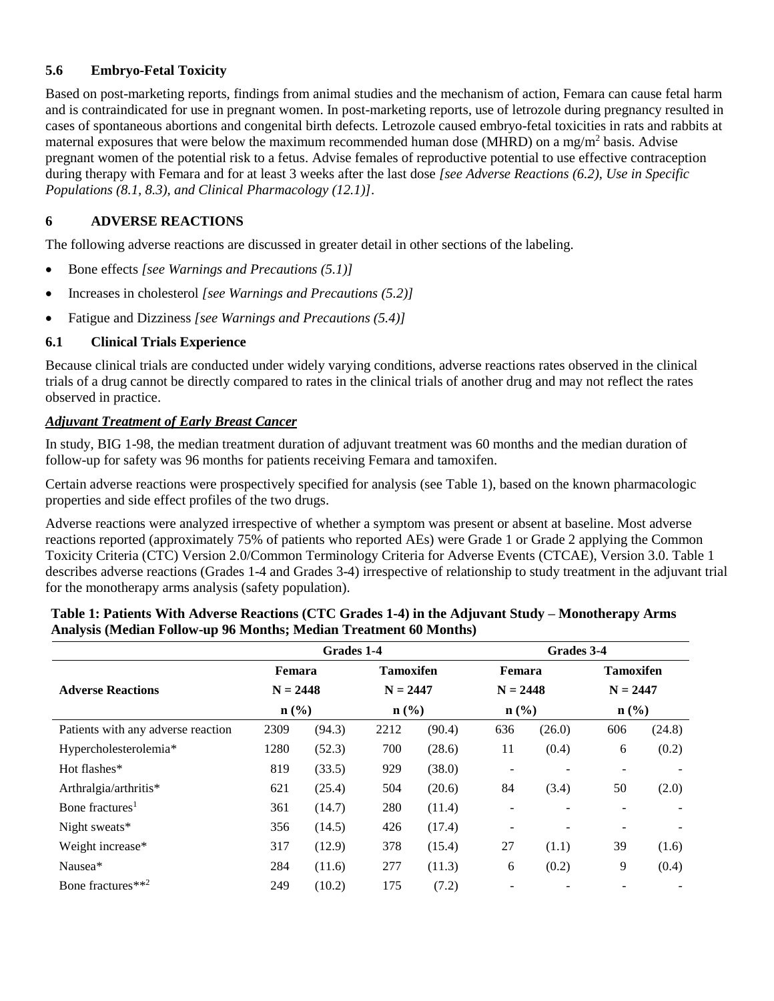# <span id="page-3-0"></span>**5.6 Embryo-Fetal Toxicity**

Based on post-marketing reports, findings from animal studies and the mechanism of action, Femara can cause fetal harm and is contraindicated for use in pregnant women. In post-marketing reports, use of letrozole during pregnancy resulted in cases of spontaneous abortions and congenital birth defects. Letrozole caused embryo-fetal toxicities in rats and rabbits at maternal exposures that were below the maximum recommended human dose (MHRD) on a mg/m<sup>2</sup> basis. Advise pregnant women of the potential risk to a fetus. Advise females of reproductive potential to use effective contraception during therapy with Femara and for at least 3 weeks after the last dose *[see Adverse Reactions (6.2), Use in Specific Populations (8.1, 8.3), and Clinical Pharmacology (12.1)]*.

# <span id="page-3-1"></span>**6 ADVERSE REACTIONS**

The following adverse reactions are discussed in greater detail in other sections of the labeling.

- Bone effects *[see Warnings and Precautions (5.1)]*
- Increases in cholesterol *[see Warnings and Precautions (5.2)]*
- Fatigue and Dizziness *[see Warnings and Precautions (5.4)]*

#### <span id="page-3-2"></span>**6.1 Clinical Trials Experience**

Because clinical trials are conducted under widely varying conditions, adverse reactions rates observed in the clinical trials of a drug cannot be directly compared to rates in the clinical trials of another drug and may not reflect the rates observed in practice.

## *Adjuvant Treatment of Early Breast Cancer*

In study, BIG 1-98, the median treatment duration of adjuvant treatment was 60 months and the median duration of follow-up for safety was 96 months for patients receiving Femara and tamoxifen.

Certain adverse reactions were prospectively specified for analysis (see Table 1), based on the known pharmacologic properties and side effect profiles of the two drugs.

Adverse reactions were analyzed irrespective of whether a symptom was present or absent at baseline. Most adverse reactions reported (approximately 75% of patients who reported AEs) were Grade 1 or Grade 2 applying the Common Toxicity Criteria (CTC) Version 2.0/Common Terminology Criteria for Adverse Events (CTCAE), Version 3.0. Table 1 describes adverse reactions (Grades 1-4 and Grades 3-4) irrespective of relationship to study treatment in the adjuvant trial for the monotherapy arms analysis (safety population).

|                                    | Grades 1-4                  |        |                  |        | Grades 3-4                  |                |                  |        |
|------------------------------------|-----------------------------|--------|------------------|--------|-----------------------------|----------------|------------------|--------|
|                                    | Femara                      |        | <b>Tamoxifen</b> |        | Femara                      |                | <b>Tamoxifen</b> |        |
| <b>Adverse Reactions</b>           | $N = 2448$                  |        | $N = 2447$       |        | $N = 2448$                  |                | $N = 2447$       |        |
|                                    | $n\left(\frac{0}{0}\right)$ |        | $n$ (%)          |        | $n\left(\frac{0}{0}\right)$ |                | n(%)             |        |
| Patients with any adverse reaction | 2309                        | (94.3) | 2212             | (90.4) | 636                         | (26.0)         | 606              | (24.8) |
| Hypercholesterolemia*              | 1280                        | (52.3) | 700              | (28.6) | 11                          | (0.4)          | 6                | (0.2)  |
| Hot flashes*                       | 819                         | (33.5) | 929              | (38.0) |                             | $\overline{a}$ |                  |        |
| Arthralgia/arthritis*              | 621                         | (25.4) | 504              | (20.6) | 84                          | (3.4)          | 50               | (2.0)  |
| Bone fractures <sup>1</sup>        | 361                         | (14.7) | 280              | (11.4) |                             |                |                  |        |
| Night sweats*                      | 356                         | (14.5) | 426              | (17.4) |                             | $\overline{a}$ |                  |        |
| Weight increase*                   | 317                         | (12.9) | 378              | (15.4) | 27                          | (1.1)          | 39               | (1.6)  |
| Nausea*                            | 284                         | (11.6) | 277              | (11.3) | 6                           | (0.2)          | 9                | (0.4)  |
| Bone fractures**2                  | 249                         | (10.2) | 175              | (7.2)  |                             |                |                  |        |

#### **Table 1: Patients With Adverse Reactions (CTC Grades 1-4) in the Adjuvant Study – Monotherapy Arms Analysis (Median Follow-up 96 Months; Median Treatment 60 Months)**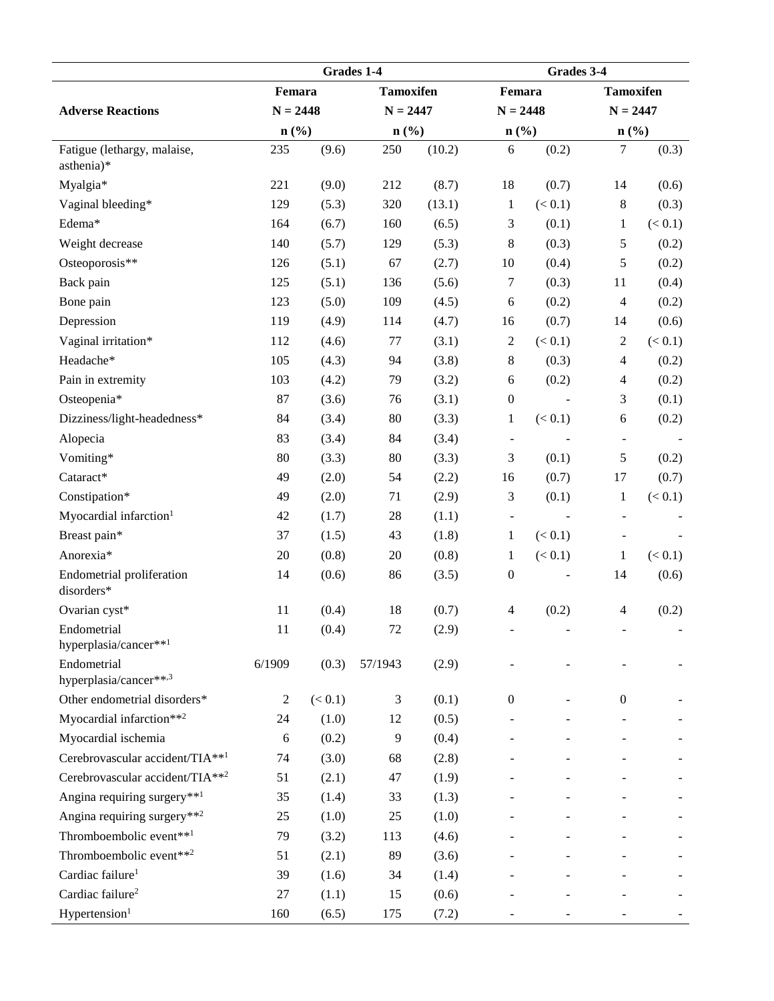|                                           | Grades 1-4     |         |                  |            | Grades 3-4                  |            |                              |         |
|-------------------------------------------|----------------|---------|------------------|------------|-----------------------------|------------|------------------------------|---------|
|                                           | Femara         |         | <b>Tamoxifen</b> |            | Femara                      |            | <b>Tamoxifen</b>             |         |
| <b>Adverse Reactions</b>                  | $N = 2448$     |         |                  | $N = 2447$ |                             | $N = 2448$ | $N = 2447$                   |         |
|                                           | $n$ (%)        |         | $n$ (%)          |            | $n\left(\frac{0}{0}\right)$ |            | $n\left(\frac{0}{0}\right)$  |         |
| Fatigue (lethargy, malaise,<br>asthenia)* | 235            | (9.6)   | 250              | (10.2)     | 6                           | (0.2)      | 7                            | (0.3)   |
| Myalgia*                                  | 221            | (9.0)   | 212              | (8.7)      | 18                          | (0.7)      | 14                           | (0.6)   |
| Vaginal bleeding*                         | 129            | (5.3)   | 320              | (13.1)     | $\mathbf{1}$                | (< 0.1)    | $\,8\,$                      | (0.3)   |
| Edema*                                    | 164            | (6.7)   | 160              | (6.5)      | 3                           | (0.1)      | $\mathbf{1}$                 | (< 0.1) |
| Weight decrease                           | 140            | (5.7)   | 129              | (5.3)      | 8                           | (0.3)      | 5                            | (0.2)   |
| Osteoporosis**                            | 126            | (5.1)   | 67               | (2.7)      | 10                          | (0.4)      | 5                            | (0.2)   |
| Back pain                                 | 125            | (5.1)   | 136              | (5.6)      | $\tau$                      | (0.3)      | 11                           | (0.4)   |
| Bone pain                                 | 123            | (5.0)   | 109              | (4.5)      | $\sqrt{6}$                  | (0.2)      | $\overline{4}$               | (0.2)   |
| Depression                                | 119            | (4.9)   | 114              | (4.7)      | 16                          | (0.7)      | 14                           | (0.6)   |
| Vaginal irritation*                       | 112            | (4.6)   | 77               | (3.1)      | $\overline{c}$              | (< 0.1)    | $\mathfrak{2}$               | (< 0.1) |
| Headache*                                 | 105            | (4.3)   | 94               | (3.8)      | $\,8\,$                     | (0.3)      | $\overline{4}$               | (0.2)   |
| Pain in extremity                         | 103            | (4.2)   | 79               | (3.2)      | $\sqrt{6}$                  | (0.2)      | 4                            | (0.2)   |
| Osteopenia*                               | 87             | (3.6)   | 76               | (3.1)      | $\boldsymbol{0}$            | $\sim$     | 3                            | (0.1)   |
| Dizziness/light-headedness*               | 84             | (3.4)   | 80               | (3.3)      | $\mathbf{1}$                | (< 0.1)    | 6                            | (0.2)   |
| Alopecia                                  | 83             | (3.4)   | 84               | (3.4)      | $\overline{\phantom{a}}$    |            | $\qquad \qquad \blacksquare$ |         |
| Vomiting*                                 | $80\,$         | (3.3)   | 80               | (3.3)      | 3                           | (0.1)      | 5                            | (0.2)   |
| Cataract*                                 | 49             | (2.0)   | 54               | (2.2)      | 16                          | (0.7)      | 17                           | (0.7)   |
| Constipation*                             | 49             | (2.0)   | 71               | (2.9)      | 3                           | (0.1)      | 1                            | (< 0.1) |
| Myocardial infarction <sup>1</sup>        | 42             | (1.7)   | 28               | (1.1)      | $\blacksquare$              | $\sim$     | $\blacksquare$               |         |
| Breast pain*                              | 37             | (1.5)   | 43               | (1.8)      | $\mathbf{1}$                | (< 0.1)    |                              |         |
| Anorexia*                                 | 20             | (0.8)   | 20               | (0.8)      | 1                           | (< 0.1)    | 1                            | (< 0.1) |
| Endometrial proliferation<br>disorders*   | 14             | (0.6)   | 86               | (3.5)      | $\boldsymbol{0}$            |            | 14                           | (0.6)   |
| Ovarian cyst*                             | 11             | (0.4)   | 18               | (0.7)      | $\overline{4}$              | (0.2)      | 4                            | (0.2)   |
| Endometrial<br>hyperplasia/cancer**1      | 11             | (0.4)   | 72               | (2.9)      |                             |            |                              |         |
| Endometrial<br>hyperplasia/cancer**,3     | 6/1909         | (0.3)   | 57/1943          | (2.9)      |                             |            |                              |         |
| Other endometrial disorders*              | $\overline{2}$ | (< 0.1) | 3                | (0.1)      | $\boldsymbol{0}$            |            | $\boldsymbol{0}$             |         |
| Myocardial infarction**2                  | 24             | (1.0)   | 12               | (0.5)      |                             |            |                              |         |
| Myocardial ischemia                       | 6              | (0.2)   | 9                | (0.4)      |                             |            |                              |         |
| Cerebrovascular accident/TIA**1           | 74             | (3.0)   | 68               | (2.8)      |                             |            |                              |         |
| Cerebrovascular accident/TIA**2           | 51             | (2.1)   | 47               | (1.9)      |                             |            |                              |         |
| Angina requiring surgery**1               | 35             | (1.4)   | 33               | (1.3)      |                             |            |                              |         |
| Angina requiring surgery**2               | 25             | (1.0)   | $25\,$           | (1.0)      |                             |            |                              |         |
| Thromboembolic event** <sup>1</sup>       | 79             | (3.2)   | 113              | (4.6)      |                             |            |                              |         |
| Thromboembolic event**2                   | 51             | (2.1)   | 89               | (3.6)      |                             |            |                              |         |
| Cardiac failure <sup>1</sup>              | 39             | (1.6)   | 34               | (1.4)      |                             |            |                              |         |
| Cardiac failure <sup>2</sup>              | 27             | (1.1)   | 15               | (0.6)      |                             |            |                              |         |
| Hypertension <sup>1</sup>                 | 160            | (6.5)   | 175              | (7.2)      |                             |            |                              |         |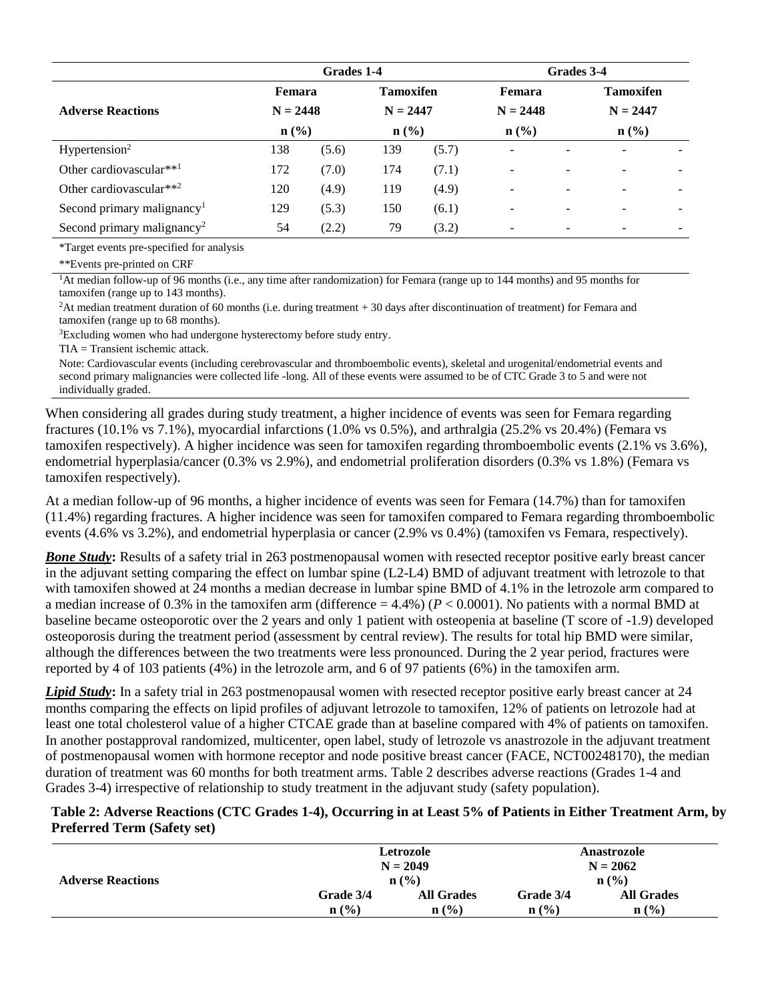|                                                 | Grades 1-4 |                  |                  |                  | Grades 3-4               |   |                  |                          |
|-------------------------------------------------|------------|------------------|------------------|------------------|--------------------------|---|------------------|--------------------------|
|                                                 | Femara     |                  | <b>Tamoxifen</b> |                  | Femara                   |   | <b>Tamoxifen</b> |                          |
| <b>Adverse Reactions</b>                        | $N = 2448$ |                  | $N = 2447$       |                  | $N = 2448$               |   | $N = 2447$       |                          |
| $n\left(\frac{0}{0}\right)$<br>$\mathbf{n}(\%)$ |            | $\mathbf{n}(\%)$ |                  | $\mathbf{n}(\%)$ |                          |   |                  |                          |
| Hypertension <sup>2</sup>                       | 138        | (5.6)            | 139              | (5.7)            | $\overline{\phantom{a}}$ |   |                  |                          |
| Other cardiovascular** <sup>1</sup>             | 172        | (7.0)            | 174              | (7.1)            |                          | - |                  | $\overline{\phantom{a}}$ |
| Other cardiovascular**2                         | 120        | (4.9)            | 119              | (4.9)            | $\overline{\phantom{a}}$ | - |                  | $\overline{\phantom{a}}$ |
| Second primary malignancy <sup>1</sup>          | 129        | (5.3)            | 150              | (6.1)            | -                        | ۰ |                  | $\overline{\phantom{0}}$ |
| Second primary malignancy <sup>2</sup>          | 54         | (2.2)            | 79               | (3.2)            |                          |   |                  |                          |

\*Target events pre-specified for analysis

\*\*Events pre-printed on CRF

<sup>1</sup>At median follow-up of 96 months (i.e., any time after randomization) for Femara (range up to 144 months) and 95 months for tamoxifen (range up to 143 months).

<sup>2</sup>At median treatment duration of 60 months (i.e. during treatment + 30 days after discontinuation of treatment) for Femara and tamoxifen (range up to 68 months).

<sup>3</sup>Excluding women who had undergone hysterectomy before study entry.

TIA = Transient ischemic attack.

Note: Cardiovascular events (including cerebrovascular and thromboembolic events), skeletal and urogenital/endometrial events and second primary malignancies were collected life -long. All of these events were assumed to be of CTC Grade 3 to 5 and were not individually graded.

When considering all grades during study treatment, a higher incidence of events was seen for Femara regarding fractures (10.1% vs 7.1%), myocardial infarctions (1.0% vs 0.5%), and arthralgia (25.2% vs 20.4%) (Femara vs tamoxifen respectively). A higher incidence was seen for tamoxifen regarding thromboembolic events (2.1% vs 3.6%), endometrial hyperplasia/cancer (0.3% vs 2.9%), and endometrial proliferation disorders (0.3% vs 1.8%) (Femara vs tamoxifen respectively).

At a median follow-up of 96 months, a higher incidence of events was seen for Femara (14.7%) than for tamoxifen (11.4%) regarding fractures. A higher incidence was seen for tamoxifen compared to Femara regarding thromboembolic events (4.6% vs 3.2%), and endometrial hyperplasia or cancer (2.9% vs 0.4%) (tamoxifen vs Femara, respectively).

*Bone Study***:** Results of a safety trial in 263 postmenopausal women with resected receptor positive early breast cancer in the adjuvant setting comparing the effect on lumbar spine (L2-L4) BMD of adjuvant treatment with letrozole to that with tamoxifen showed at 24 months a median decrease in lumbar spine BMD of 4.1% in the letrozole arm compared to a median increase of 0.3% in the tamoxifen arm (difference  $= 4.4\%$ ) ( $P < 0.0001$ ). No patients with a normal BMD at baseline became osteoporotic over the 2 years and only 1 patient with osteopenia at baseline (T score of -1.9) developed osteoporosis during the treatment period (assessment by central review). The results for total hip BMD were similar, although the differences between the two treatments were less pronounced. During the 2 year period, fractures were reported by 4 of 103 patients (4%) in the letrozole arm, and 6 of 97 patients (6%) in the tamoxifen arm.

*Lipid Study***:** In a safety trial in 263 postmenopausal women with resected receptor positive early breast cancer at 24 months comparing the effects on lipid profiles of adjuvant letrozole to tamoxifen, 12% of patients on letrozole had at least one total cholesterol value of a higher CTCAE grade than at baseline compared with 4% of patients on tamoxifen. In another postapproval randomized, multicenter, open label, study of letrozole vs anastrozole in the adjuvant treatment of postmenopausal women with hormone receptor and node positive breast cancer (FACE, NCT00248170), the median duration of treatment was 60 months for both treatment arms. Table 2 describes adverse reactions (Grades 1-4 and Grades 3-4) irrespective of relationship to study treatment in the adjuvant study (safety population).

#### **Table 2: Adverse Reactions (CTC Grades 1-4), Occurring in at Least 5% of Patients in Either Treatment Arm, by Preferred Term (Safety set)**

| <b>Adverse Reactions</b> |              | Letrozole<br>$N = 2049$ | Anastrozole<br>$N = 2062$<br>$n\left(\frac{0}{0}\right)$ |                   |  |
|--------------------------|--------------|-------------------------|----------------------------------------------------------|-------------------|--|
|                          |              | $\mathbf{n}(\%)$        |                                                          |                   |  |
|                          | Grade 3/4    | <b>All Grades</b>       | Grade 3/4                                                | <b>All Grades</b> |  |
|                          | n(%)<br>n(%) |                         | n(%)                                                     | $\mathbf{n}(\%)$  |  |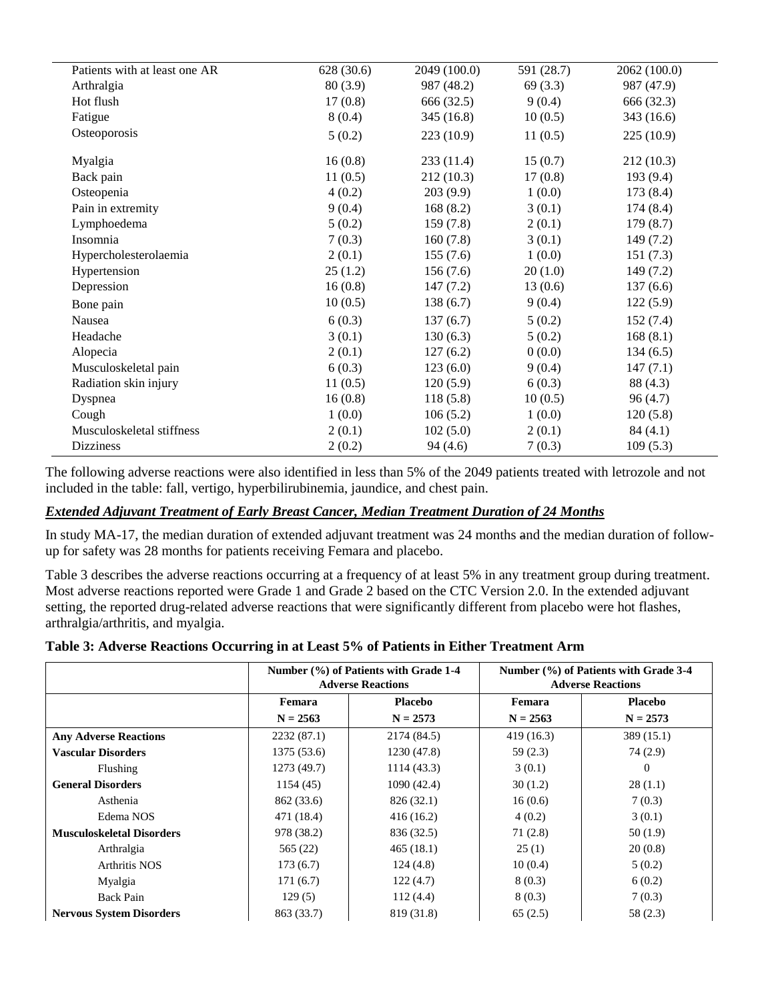| Patients with at least one AR | 628 (30.6) | 2049 (100.0) | 591 (28.7) | 2062 (100.0) |
|-------------------------------|------------|--------------|------------|--------------|
| Arthralgia                    | 80(3.9)    | 987 (48.2)   | 69(3.3)    | 987 (47.9)   |
| Hot flush                     | 17(0.8)    | 666 (32.5)   | 9(0.4)     | 666 (32.3)   |
| Fatigue                       | 8(0.4)     | 345 (16.8)   | 10(0.5)    | 343 (16.6)   |
| Osteoporosis                  | 5(0.2)     | 223(10.9)    | 11(0.5)    | 225(10.9)    |
| Myalgia                       | 16(0.8)    | 233(11.4)    | 15(0.7)    | 212(10.3)    |
| Back pain                     | 11(0.5)    | 212 (10.3)   | 17(0.8)    | 193(9.4)     |
| Osteopenia                    | 4(0.2)     | 203(9.9)     | 1(0.0)     | 173(8.4)     |
| Pain in extremity             | 9(0.4)     | 168(8.2)     | 3(0.1)     | 174(8.4)     |
| Lymphoedema                   | 5(0.2)     | 159(7.8)     | 2(0.1)     | 179(8.7)     |
| Insomnia                      | 7(0.3)     | 160(7.8)     | 3(0.1)     | 149(7.2)     |
| Hypercholesterolaemia         | 2(0.1)     | 155(7.6)     | 1(0.0)     | 151(7.3)     |
| Hypertension                  | 25(1.2)    | 156(7.6)     | 20(1.0)    | 149(7.2)     |
| Depression                    | 16(0.8)    | 147(7.2)     | 13(0.6)    | 137(6.6)     |
| Bone pain                     | 10(0.5)    | 138(6.7)     | 9(0.4)     | 122(5.9)     |
| Nausea                        | 6(0.3)     | 137(6.7)     | 5(0.2)     | 152(7.4)     |
| Headache                      | 3(0.1)     | 130(6.3)     | 5(0.2)     | 168(8.1)     |
| Alopecia                      | 2(0.1)     | 127(6.2)     | 0(0.0)     | 134(6.5)     |
| Musculoskeletal pain          | 6(0.3)     | 123(6.0)     | 9(0.4)     | 147(7.1)     |
| Radiation skin injury         | 11(0.5)    | 120(5.9)     | 6(0.3)     | 88 (4.3)     |
| Dyspnea                       | 16(0.8)    | 118(5.8)     | 10(0.5)    | 96(4.7)      |
| Cough                         | 1(0.0)     | 106(5.2)     | 1(0.0)     | 120(5.8)     |
| Musculoskeletal stiffness     | 2(0.1)     | 102(5.0)     | 2(0.1)     | 84(4.1)      |
| <b>Dizziness</b>              | 2(0.2)     | 94(4.6)      | 7(0.3)     | 109(5.3)     |

The following adverse reactions were also identified in less than 5% of the 2049 patients treated with letrozole and not included in the table: fall, vertigo, hyperbilirubinemia, jaundice, and chest pain.

#### *Extended Adjuvant Treatment of Early Breast Cancer, Median Treatment Duration of 24 Months*

In study MA-17, the median duration of extended adjuvant treatment was 24 months and the median duration of followup for safety was 28 months for patients receiving Femara and placebo.

Table 3 describes the adverse reactions occurring at a frequency of at least 5% in any treatment group during treatment. Most adverse reactions reported were Grade 1 and Grade 2 based on the CTC Version 2.0. In the extended adjuvant setting, the reported drug-related adverse reactions that were significantly different from placebo were hot flashes, arthralgia/arthritis, and myalgia.

|  |  | Table 3: Adverse Reactions Occurring in at Least 5% of Patients in Either Treatment Arm |  |
|--|--|-----------------------------------------------------------------------------------------|--|
|  |  |                                                                                         |  |

|                                  |             | Number (%) of Patients with Grade 1-4<br><b>Adverse Reactions</b> | Number (%) of Patients with Grade 3-4<br><b>Adverse Reactions</b> |            |  |
|----------------------------------|-------------|-------------------------------------------------------------------|-------------------------------------------------------------------|------------|--|
|                                  | Femara      | <b>Placebo</b>                                                    | Femara                                                            | Placebo    |  |
|                                  | $N = 2563$  | $N = 2573$                                                        | $N = 2563$                                                        | $N = 2573$ |  |
| <b>Any Adverse Reactions</b>     | 2232(87.1)  | 2174 (84.5)                                                       | 419 (16.3)                                                        | 389(15.1)  |  |
| <b>Vascular Disorders</b>        | 1375 (53.6) | 1230 (47.8)                                                       | 59(2.3)                                                           | 74 (2.9)   |  |
| Flushing                         | 1273 (49.7) | 1114(43.3)                                                        | 3(0.1)                                                            | $\theta$   |  |
| <b>General Disorders</b>         | 1154(45)    | 1090(42.4)                                                        | 30(1.2)                                                           | 28(1.1)    |  |
| Asthenia                         | 862 (33.6)  | 826 (32.1)                                                        | 16(0.6)                                                           | 7(0.3)     |  |
| Edema NOS                        | 471 (18.4)  | 416(16.2)                                                         | 4(0.2)                                                            | 3(0.1)     |  |
| <b>Musculoskeletal Disorders</b> | 978 (38.2)  | 836 (32.5)                                                        | 71(2.8)                                                           | 50(1.9)    |  |
| Arthralgia                       | 565 (22)    | 465(18.1)                                                         | 25(1)                                                             | 20(0.8)    |  |
| <b>Arthritis NOS</b>             | 173(6.7)    | 124(4.8)                                                          | 10(0.4)                                                           | 5(0.2)     |  |
| Myalgia                          | 171(6.7)    | 122(4.7)                                                          | 8(0.3)                                                            | 6(0.2)     |  |
| Back Pain                        | 129(5)      | 112(4.4)                                                          | 8(0.3)                                                            | 7(0.3)     |  |
| <b>Nervous System Disorders</b>  | 863 (33.7)  | 819 (31.8)                                                        | 65(2.5)                                                           | 58 (2.3)   |  |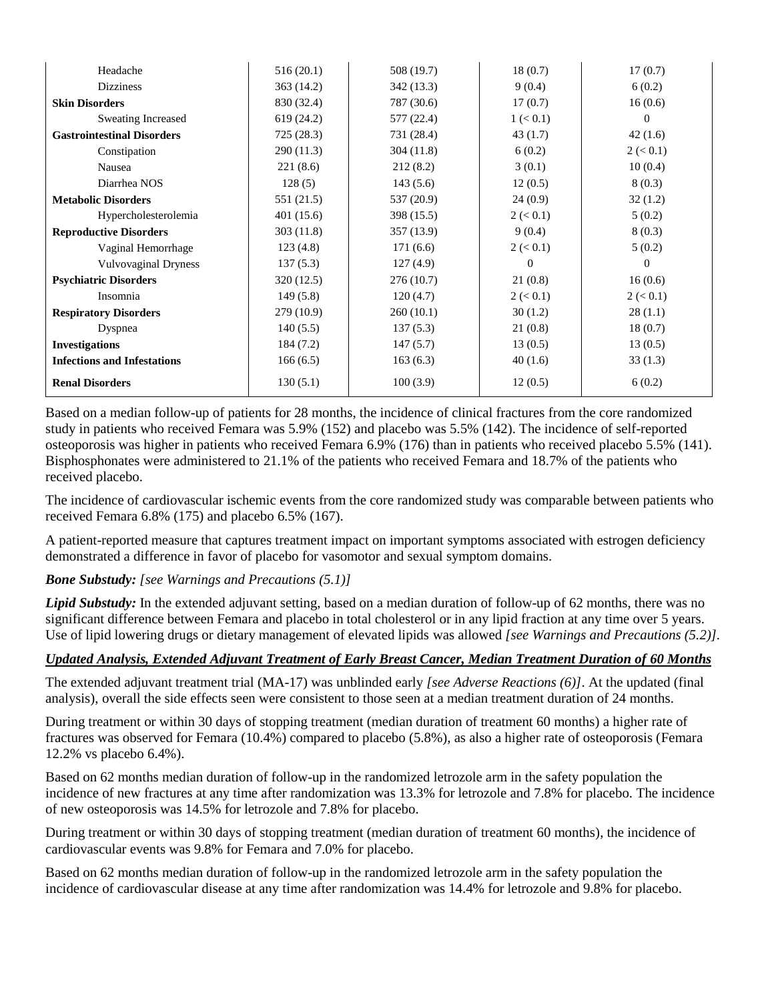| Headache                           | 516(20.1)  | 508 (19.7) | 18(0.7)     | 17(0.7)         |
|------------------------------------|------------|------------|-------------|-----------------|
| <b>Dizziness</b>                   | 363(14.2)  | 342 (13.3) | 9(0.4)      | 6(0.2)          |
| <b>Skin Disorders</b>              | 830 (32.4) | 787 (30.6) | 17(0.7)     | 16(0.6)         |
| <b>Sweating Increased</b>          | 619 (24.2) | 577 (22.4) | $1 \le 0.1$ | $\Omega$        |
| <b>Gastrointestinal Disorders</b>  | 725(28.3)  | 731 (28.4) | 43(1.7)     | 42(1.6)         |
| Constipation                       | 290 (11.3) | 304(11.8)  | 6(0.2)      | 2 (< 0.1)       |
| Nausea                             | 221(8.6)   | 212(8.2)   | 3(0.1)      | 10(0.4)         |
| Diarrhea NOS                       | 128(5)     | 143(5.6)   | 12(0.5)     | 8(0.3)          |
| <b>Metabolic Disorders</b>         | 551 (21.5) | 537 (20.9) | 24(0.9)     | 32(1.2)         |
| Hypercholesterolemia               | 401 (15.6) | 398 (15.5) | 2 (< 0.1)   | 5(0.2)          |
| <b>Reproductive Disorders</b>      | 303 (11.8) | 357 (13.9) | 9(0.4)      | 8(0.3)          |
| Vaginal Hemorrhage                 | 123(4.8)   | 171(6.6)   | 2 (< 0.1)   | 5(0.2)          |
| <b>Vulvovaginal Dryness</b>        | 137(5.3)   | 127(4.9)   | $\theta$    | $\overline{0}$  |
| <b>Psychiatric Disorders</b>       | 320 (12.5) | 276(10.7)  | 21(0.8)     | 16(0.6)         |
| Insomnia                           | 149(5.8)   | 120(4.7)   | $2 \le 0.1$ | $2 \approx 0.1$ |
| <b>Respiratory Disorders</b>       | 279 (10.9) | 260(10.1)  | 30(1.2)     | 28(1.1)         |
| Dyspnea                            | 140(5.5)   | 137(5.3)   | 21(0.8)     | 18(0.7)         |
| <b>Investigations</b>              | 184 (7.2)  | 147(5.7)   | 13(0.5)     | 13(0.5)         |
| <b>Infections and Infestations</b> | 166(6.5)   | 163(6.3)   | 40(1.6)     | 33(1.3)         |
| <b>Renal Disorders</b>             | 130(5.1)   | 100(3.9)   | 12(0.5)     | 6(0.2)          |

Based on a median follow-up of patients for 28 months, the incidence of clinical fractures from the core randomized study in patients who received Femara was 5.9% (152) and placebo was 5.5% (142). The incidence of self-reported osteoporosis was higher in patients who received Femara 6.9% (176) than in patients who received placebo 5.5% (141). Bisphosphonates were administered to 21.1% of the patients who received Femara and 18.7% of the patients who received placebo.

The incidence of cardiovascular ischemic events from the core randomized study was comparable between patients who received Femara 6.8% (175) and placebo 6.5% (167).

A patient-reported measure that captures treatment impact on important symptoms associated with estrogen deficiency demonstrated a difference in favor of placebo for vasomotor and sexual symptom domains.

## *Bone Substudy: [see Warnings and Precautions (5.1)]*

*Lipid Substudy:* In the extended adjuvant setting, based on a median duration of follow-up of 62 months, there was no significant difference between Femara and placebo in total cholesterol or in any lipid fraction at any time over 5 years. Use of lipid lowering drugs or dietary management of elevated lipids was allowed *[see Warnings and Precautions (5.2)].*

#### *Updated Analysis, Extended Adjuvant Treatment of Early Breast Cancer, Median Treatment Duration of 60 Months*

The extended adjuvant treatment trial (MA-17) was unblinded early *[see Adverse Reactions (6)]*. At the updated (final analysis), overall the side effects seen were consistent to those seen at a median treatment duration of 24 months.

During treatment or within 30 days of stopping treatment (median duration of treatment 60 months) a higher rate of fractures was observed for Femara (10.4%) compared to placebo (5.8%), as also a higher rate of osteoporosis (Femara 12.2% vs placebo 6.4%).

Based on 62 months median duration of follow-up in the randomized letrozole arm in the safety population the incidence of new fractures at any time after randomization was 13.3% for letrozole and 7.8% for placebo. The incidence of new osteoporosis was 14.5% for letrozole and 7.8% for placebo.

During treatment or within 30 days of stopping treatment (median duration of treatment 60 months), the incidence of cardiovascular events was 9.8% for Femara and 7.0% for placebo.

Based on 62 months median duration of follow-up in the randomized letrozole arm in the safety population the incidence of cardiovascular disease at any time after randomization was 14.4% for letrozole and 9.8% for placebo.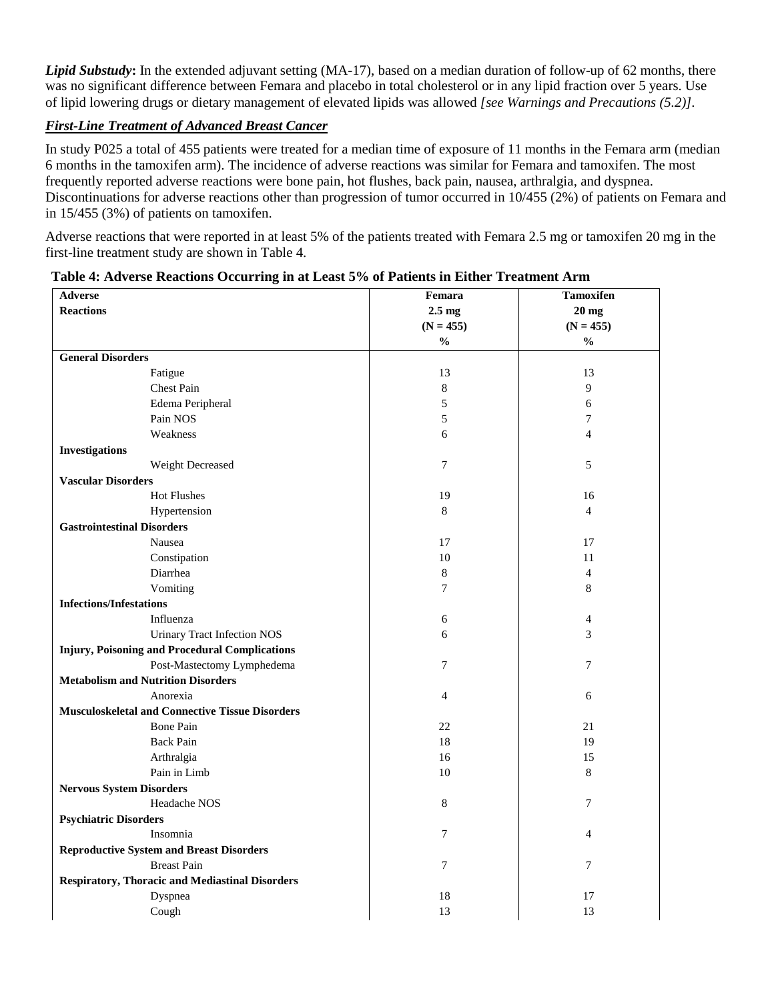*Lipid Substudy***:** In the extended adjuvant setting (MA-17), based on a median duration of follow-up of 62 months, there was no significant difference between Femara and placebo in total cholesterol or in any lipid fraction over 5 years. Use of lipid lowering drugs or dietary management of elevated lipids was allowed *[see Warnings and Precautions (5.2)].*

## *First-Line Treatment of Advanced Breast Cancer*

In study P025 a total of 455 patients were treated for a median time of exposure of 11 months in the Femara arm (median 6 months in the tamoxifen arm). The incidence of adverse reactions was similar for Femara and tamoxifen. The most frequently reported adverse reactions were bone pain, hot flushes, back pain, nausea, arthralgia, and dyspnea. Discontinuations for adverse reactions other than progression of tumor occurred in 10/455 (2%) of patients on Femara and in 15/455 (3%) of patients on tamoxifen.

Adverse reactions that were reported in at least 5% of the patients treated with Femara 2.5 mg or tamoxifen 20 mg in the first-line treatment study are shown in Table 4.

| <b>Adverse</b>                                         | Femara         | <b>Tamoxifen</b> |
|--------------------------------------------------------|----------------|------------------|
| <b>Reactions</b>                                       | $2.5$ mg       | $20$ mg          |
|                                                        | $(N = 455)$    | $(N = 455)$      |
|                                                        | $\frac{0}{0}$  | $\frac{0}{0}$    |
| <b>General Disorders</b>                               |                |                  |
| Fatigue                                                | 13             | 13               |
| <b>Chest Pain</b>                                      | $\,8\,$        | 9                |
| Edema Peripheral                                       | 5              | 6                |
| Pain NOS                                               | 5              | 7                |
| Weakness                                               | 6              | $\overline{4}$   |
| <b>Investigations</b>                                  |                |                  |
| Weight Decreased                                       | $\overline{7}$ | 5                |
| <b>Vascular Disorders</b>                              |                |                  |
| Hot Flushes                                            | 19             | 16               |
| Hypertension                                           | 8              | $\overline{4}$   |
| <b>Gastrointestinal Disorders</b>                      |                |                  |
| Nausea                                                 | 17             | 17               |
| Constipation                                           | 10             | 11               |
| Diarrhea                                               | $\,8\,$        | $\overline{4}$   |
| Vomiting                                               | $\overline{7}$ | $\,$ 8 $\,$      |
| <b>Infections/Infestations</b>                         |                |                  |
| Influenza                                              | 6              | 4                |
| <b>Urinary Tract Infection NOS</b>                     | 6              | 3                |
| <b>Injury, Poisoning and Procedural Complications</b>  |                |                  |
| Post-Mastectomy Lymphedema                             | 7              | 7                |
| <b>Metabolism and Nutrition Disorders</b>              |                |                  |
| Anorexia                                               | $\overline{4}$ | 6                |
| <b>Musculoskeletal and Connective Tissue Disorders</b> |                |                  |
| <b>Bone Pain</b>                                       | 22             | 21               |
| <b>Back Pain</b>                                       | 18             | 19               |
| Arthralgia                                             | 16             | 15               |
| Pain in Limb                                           | 10             | 8                |
| <b>Nervous System Disorders</b>                        |                |                  |
| Headache NOS                                           | 8              | 7                |
| <b>Psychiatric Disorders</b>                           |                |                  |
| Insomnia                                               | 7              | $\overline{4}$   |
| <b>Reproductive System and Breast Disorders</b>        |                |                  |
| <b>Breast Pain</b>                                     | $\overline{7}$ | $\overline{7}$   |
| <b>Respiratory, Thoracic and Mediastinal Disorders</b> |                |                  |
| Dyspnea                                                | 18             | 17               |
| Cough                                                  | 13             | 13               |

#### **Table 4: Adverse Reactions Occurring in at Least 5% of Patients in Either Treatment Arm**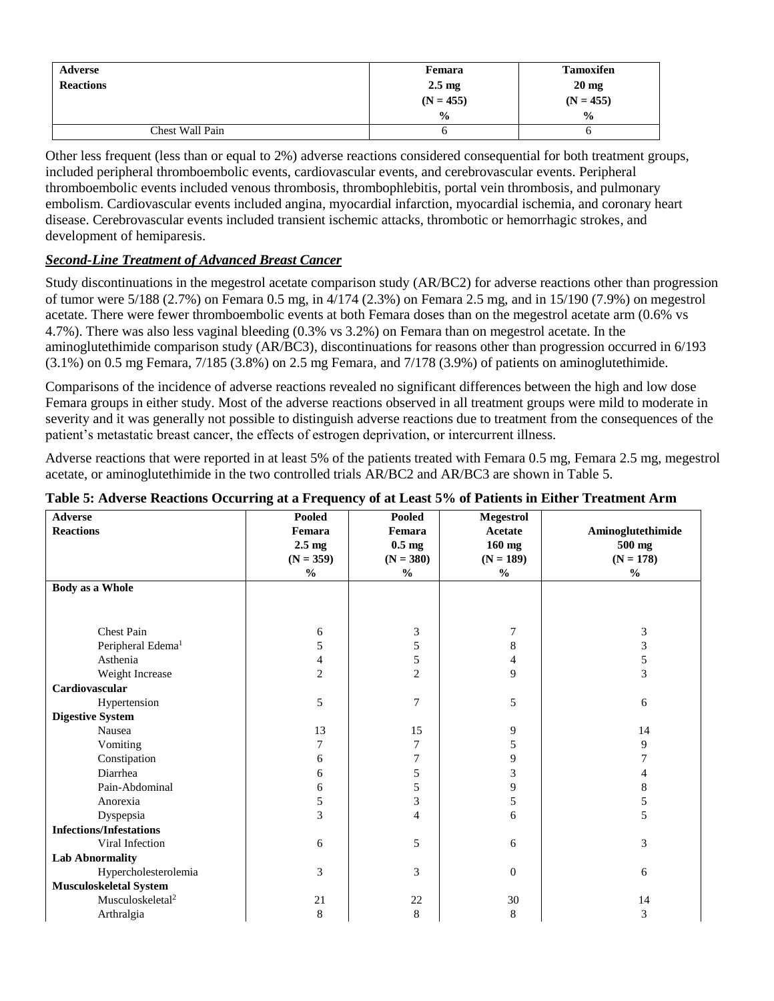| Adverse          | Femara           | <b>Tamoxifen</b> |
|------------------|------------------|------------------|
| <b>Reactions</b> | $2.5 \text{ mg}$ | $20 \text{ mg}$  |
|                  | $(N = 455)$      | $(N = 455)$      |
|                  | $\frac{0}{0}$    | $\frac{0}{0}$    |
| Chest Wall Pain  | O                |                  |

Other less frequent (less than or equal to 2%) adverse reactions considered consequential for both treatment groups, included peripheral thromboembolic events, cardiovascular events, and cerebrovascular events. Peripheral thromboembolic events included venous thrombosis, thrombophlebitis, portal vein thrombosis, and pulmonary embolism. Cardiovascular events included angina, myocardial infarction, myocardial ischemia, and coronary heart disease. Cerebrovascular events included transient ischemic attacks, thrombotic or hemorrhagic strokes, and development of hemiparesis.

# *Second-Line Treatment of Advanced Breast Cancer*

Study discontinuations in the megestrol acetate comparison study (AR/BC2) for adverse reactions other than progression of tumor were 5/188 (2.7%) on Femara 0.5 mg, in 4/174 (2.3%) on Femara 2.5 mg, and in 15/190 (7.9%) on megestrol acetate. There were fewer thromboembolic events at both Femara doses than on the megestrol acetate arm (0.6% vs 4.7%). There was also less vaginal bleeding (0.3% vs 3.2%) on Femara than on megestrol acetate. In the aminoglutethimide comparison study (AR/BC3), discontinuations for reasons other than progression occurred in 6/193 (3.1%) on 0.5 mg Femara, 7/185 (3.8%) on 2.5 mg Femara, and 7/178 (3.9%) of patients on aminoglutethimide.

Comparisons of the incidence of adverse reactions revealed no significant differences between the high and low dose Femara groups in either study. Most of the adverse reactions observed in all treatment groups were mild to moderate in severity and it was generally not possible to distinguish adverse reactions due to treatment from the consequences of the patient's metastatic breast cancer, the effects of estrogen deprivation, or intercurrent illness.

Adverse reactions that were reported in at least 5% of the patients treated with Femara 0.5 mg, Femara 2.5 mg, megestrol acetate, or aminoglutethimide in the two controlled trials AR/BC2 and AR/BC3 are shown in Table 5.

| <b>Adverse</b>                 | Pooled           | Pooled           | <b>Megestrol</b> |                   |
|--------------------------------|------------------|------------------|------------------|-------------------|
| <b>Reactions</b>               | Femara           | Femara           | Acetate          | Aminoglutethimide |
|                                | $2.5 \text{ mg}$ | $0.5 \text{ mg}$ | $160$ mg         | 500 mg            |
|                                | $(N = 359)$      | $(N = 380)$      | $(N = 189)$      | $(N = 178)$       |
|                                | $\frac{0}{0}$    | $\frac{0}{0}$    | $\frac{0}{0}$    | $\frac{0}{0}$     |
| <b>Body as a Whole</b>         |                  |                  |                  |                   |
|                                |                  |                  |                  |                   |
|                                |                  |                  |                  |                   |
| <b>Chest Pain</b>              | 6                | 3                | 7                | 3                 |
| Peripheral Edema <sup>1</sup>  | 5                | 5                | 8                | 3                 |
| Asthenia                       | 4                | 5                | 4                | 5                 |
| Weight Increase                | $\overline{c}$   | $\overline{c}$   | 9                | 3                 |
| Cardiovascular                 |                  |                  |                  |                   |
| Hypertension                   | 5                | 7                | 5                | 6                 |
| <b>Digestive System</b>        |                  |                  |                  |                   |
| Nausea                         | 13               | 15               | 9                | 14                |
| Vomiting                       | 7                | 7                | 5                | 9                 |
| Constipation                   | 6                | 7                | 9                | 7                 |
| Diarrhea                       | 6                | 5                | 3                | 4                 |
| Pain-Abdominal                 | 6                | 5                | 9                | 8                 |
| Anorexia                       | 5                | 3                | 5                | 5                 |
| Dyspepsia                      | 3                | 4                | 6                | 5                 |
| <b>Infections/Infestations</b> |                  |                  |                  |                   |
| Viral Infection                | 6                | 5                | 6                | 3                 |
| <b>Lab Abnormality</b>         |                  |                  |                  |                   |
| Hypercholesterolemia           | 3                | 3                | $\mathbf{0}$     | 6                 |
| Musculoskeletal System         |                  |                  |                  |                   |
| Musculoskeletal <sup>2</sup>   | 21               | 22               | 30               | 14                |
| Arthralgia                     | 8                | 8                | 8                | 3                 |

#### **Table 5: Adverse Reactions Occurring at a Frequency of at Least 5% of Patients in Either Treatment Arm**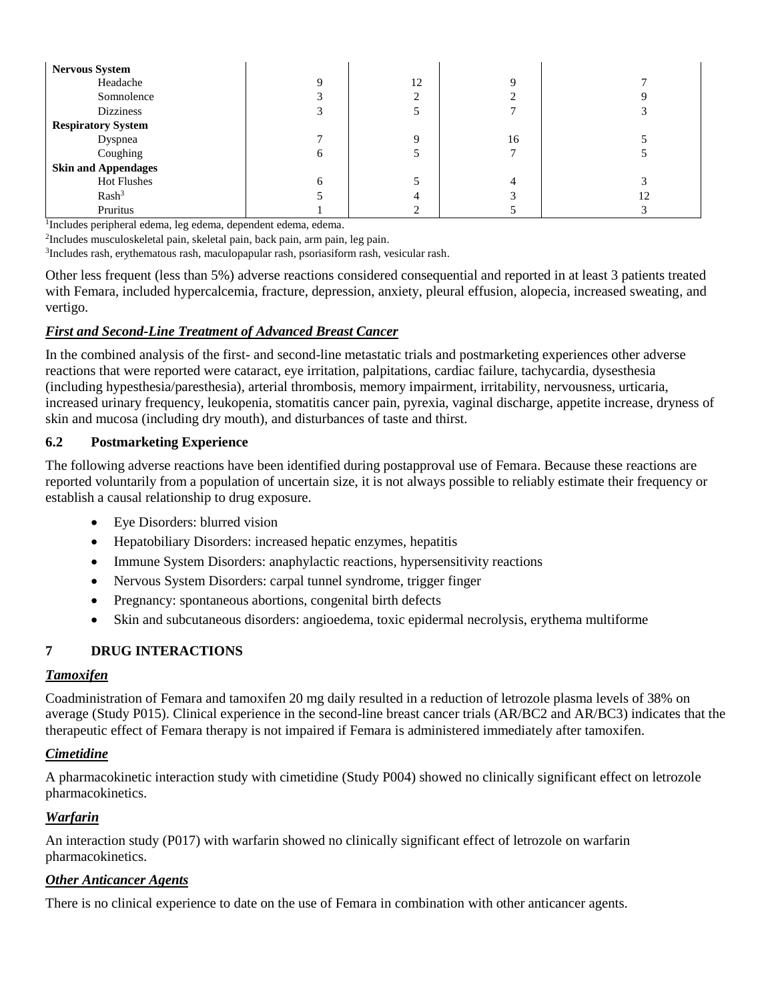| <b>Nervous System</b>      |              |    |    |    |
|----------------------------|--------------|----|----|----|
| Headache                   |              | 12 |    |    |
| Somnolence                 |              |    |    |    |
| <b>Dizziness</b>           |              |    |    |    |
| <b>Respiratory System</b>  |              |    |    |    |
| Dyspnea                    |              | Q  | 16 |    |
| Coughing                   |              |    |    |    |
| <b>Skin and Appendages</b> |              |    |    |    |
| <b>Hot Flushes</b>         | <sub>0</sub> |    |    |    |
| Rash <sup>3</sup>          |              |    |    | 12 |
| Pruritus                   |              |    |    |    |

1 Includes peripheral edema, leg edema, dependent edema, edema.

2 Includes musculoskeletal pain, skeletal pain, back pain, arm pain, leg pain.

3 Includes rash, erythematous rash, maculopapular rash, psoriasiform rash, vesicular rash.

Other less frequent (less than 5%) adverse reactions considered consequential and reported in at least 3 patients treated with Femara, included hypercalcemia, fracture, depression, anxiety, pleural effusion, alopecia, increased sweating, and vertigo.

#### *First and Second-Line Treatment of Advanced Breast Cancer*

In the combined analysis of the first- and second-line metastatic trials and postmarketing experiences other adverse reactions that were reported were cataract, eye irritation, palpitations, cardiac failure, tachycardia, dysesthesia (including hypesthesia/paresthesia), arterial thrombosis, memory impairment, irritability, nervousness, urticaria, increased urinary frequency, leukopenia, stomatitis cancer pain, pyrexia, vaginal discharge, appetite increase, dryness of skin and mucosa (including dry mouth), and disturbances of taste and thirst.

#### <span id="page-10-0"></span>**6.2 Postmarketing Experience**

The following adverse reactions have been identified during postapproval use of Femara. Because these reactions are reported voluntarily from a population of uncertain size, it is not always possible to reliably estimate their frequency or establish a causal relationship to drug exposure.

- Eye Disorders: blurred vision
- Hepatobiliary Disorders: increased hepatic enzymes, hepatitis
- Immune System Disorders: anaphylactic reactions, hypersensitivity reactions
- Nervous System Disorders: carpal tunnel syndrome, trigger finger
- Pregnancy: spontaneous abortions, congenital birth defects
- Skin and subcutaneous disorders: angioedema, toxic epidermal necrolysis, erythema multiforme

## <span id="page-10-1"></span>**7 DRUG INTERACTIONS**

#### *Tamoxifen*

Coadministration of Femara and tamoxifen 20 mg daily resulted in a reduction of letrozole plasma levels of 38% on average (Study P015). Clinical experience in the second-line breast cancer trials (AR/BC2 and AR/BC3) indicates that the therapeutic effect of Femara therapy is not impaired if Femara is administered immediately after tamoxifen.

#### *Cimetidine*

A pharmacokinetic interaction study with cimetidine (Study P004) showed no clinically significant effect on letrozole pharmacokinetics.

#### *Warfarin*

An interaction study (P017) with warfarin showed no clinically significant effect of letrozole on warfarin pharmacokinetics.

## *Other Anticancer Agents*

There is no clinical experience to date on the use of Femara in combination with other anticancer agents.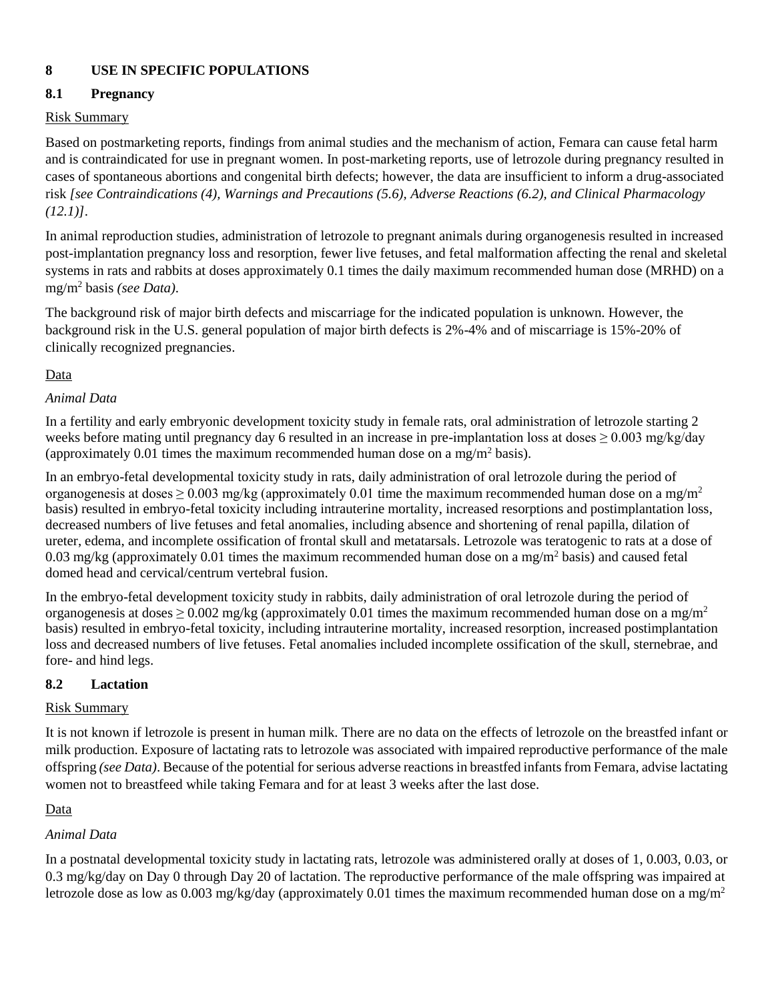# <span id="page-11-2"></span>**8 USE IN SPECIFIC POPULATIONS**

## <span id="page-11-0"></span>**8.1 Pregnancy**

#### Risk Summary

Based on postmarketing reports, findings from animal studies and the mechanism of action, Femara can cause fetal harm and is contraindicated for use in pregnant women. In post-marketing reports, use of letrozole during pregnancy resulted in cases of spontaneous abortions and congenital birth defects; however, the data are insufficient to inform a drug-associated risk *[see Contraindications (4), Warnings and Precautions (5.6), Adverse Reactions (6.2), and Clinical Pharmacology (12.1)]*.

In animal reproduction studies, administration of letrozole to pregnant animals during organogenesis resulted in increased post-implantation pregnancy loss and resorption, fewer live fetuses, and fetal malformation affecting the renal and skeletal systems in rats and rabbits at doses approximately 0.1 times the daily maximum recommended human dose (MRHD) on a mg/m<sup>2</sup> basis *(see Data)*.

The background risk of major birth defects and miscarriage for the indicated population is unknown. However, the background risk in the U.S. general population of major birth defects is 2%-4% and of miscarriage is 15%-20% of clinically recognized pregnancies.

#### Data

## *Animal Data*

In a fertility and early embryonic development toxicity study in female rats, oral administration of letrozole starting 2 weeks before mating until pregnancy day 6 resulted in an increase in pre-implantation loss at doses  $\geq 0.003$  mg/kg/day (approximately 0.01 times the maximum recommended human dose on a mg/m<sup>2</sup> basis).

In an embryo-fetal developmental toxicity study in rats, daily administration of oral letrozole during the period of organogenesis at doses  $\geq 0.003$  mg/kg (approximately 0.01 time the maximum recommended human dose on a mg/m<sup>2</sup> basis) resulted in embryo-fetal toxicity including intrauterine mortality, increased resorptions and postimplantation loss, decreased numbers of live fetuses and fetal anomalies, including absence and shortening of renal papilla, dilation of ureter, edema, and incomplete ossification of frontal skull and metatarsals. Letrozole was teratogenic to rats at a dose of 0.03 mg/kg (approximately 0.01 times the maximum recommended human dose on a mg/m<sup>2</sup> basis) and caused fetal domed head and cervical/centrum vertebral fusion.

In the embryo-fetal development toxicity study in rabbits, daily administration of oral letrozole during the period of organogenesis at doses  $> 0.002$  mg/kg (approximately 0.01 times the maximum recommended human dose on a mg/m<sup>2</sup> basis) resulted in embryo-fetal toxicity, including intrauterine mortality, increased resorption, increased postimplantation loss and decreased numbers of live fetuses. Fetal anomalies included incomplete ossification of the skull, sternebrae, and fore- and hind legs.

## <span id="page-11-1"></span>**8.2 Lactation**

## Risk Summary

It is not known if letrozole is present in human milk. There are no data on the effects of letrozole on the breastfed infant or milk production. Exposure of lactating rats to letrozole was associated with impaired reproductive performance of the male offspring *(see Data)*. Because of the potential for serious adverse reactions in breastfed infants from Femara, advise lactating women not to breastfeed while taking Femara and for at least 3 weeks after the last dose.

## Data

## *Animal Data*

In a postnatal developmental toxicity study in lactating rats, letrozole was administered orally at doses of 1, 0.003, 0.03, or 0.3 mg/kg/day on Day 0 through Day 20 of lactation. The reproductive performance of the male offspring was impaired at letrozole dose as low as 0.003 mg/kg/day (approximately 0.01 times the maximum recommended human dose on a mg/m<sup>2</sup>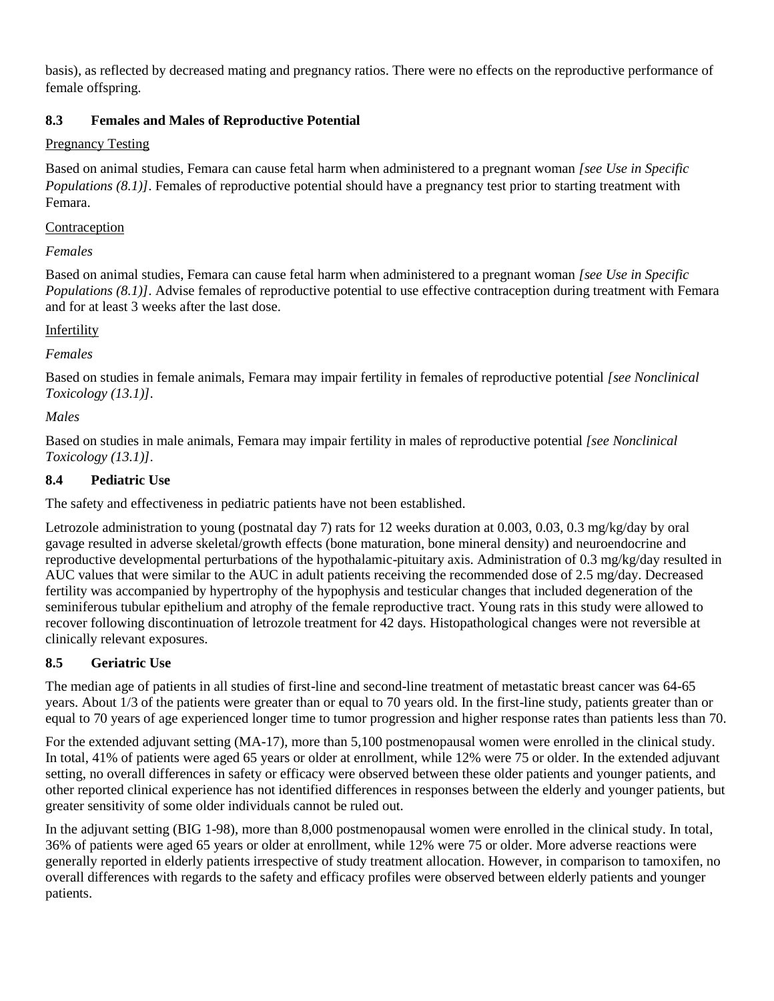basis), as reflected by decreased mating and pregnancy ratios. There were no effects on the reproductive performance of female offspring.

# <span id="page-12-0"></span>**8.3 Females and Males of Reproductive Potential**

## Pregnancy Testing

Based on animal studies, Femara can cause fetal harm when administered to a pregnant woman *[see Use in Specific Populations (8.1)]*. Females of reproductive potential should have a pregnancy test prior to starting treatment with Femara.

## Contraception

# *Females*

Based on animal studies, Femara can cause fetal harm when administered to a pregnant woman *[see Use in Specific Populations (8.1)]*. Advise females of reproductive potential to use effective contraception during treatment with Femara and for at least 3 weeks after the last dose.

# Infertility

# *Females*

Based on studies in female animals, Femara may impair fertility in females of reproductive potential *[see Nonclinical Toxicology (13.1)]*.

# *Males*

Based on studies in male animals, Femara may impair fertility in males of reproductive potential *[see Nonclinical Toxicology (13.1)]*.

# <span id="page-12-1"></span>**8.4 Pediatric Use**

The safety and effectiveness in pediatric patients have not been established.

Letrozole administration to young (postnatal day 7) rats for 12 weeks duration at 0.003, 0.03, 0.3 mg/kg/day by oral gavage resulted in adverse skeletal/growth effects (bone maturation, bone mineral density) and neuroendocrine and reproductive developmental perturbations of the hypothalamic-pituitary axis. Administration of 0.3 mg/kg/day resulted in AUC values that were similar to the AUC in adult patients receiving the recommended dose of 2.5 mg/day. Decreased fertility was accompanied by hypertrophy of the hypophysis and testicular changes that included degeneration of the seminiferous tubular epithelium and atrophy of the female reproductive tract. Young rats in this study were allowed to recover following discontinuation of letrozole treatment for 42 days. Histopathological changes were not reversible at clinically relevant exposures.

# <span id="page-12-2"></span>**8.5 Geriatric Use**

The median age of patients in all studies of first-line and second-line treatment of metastatic breast cancer was 64-65 years. About 1/3 of the patients were greater than or equal to 70 years old. In the first-line study, patients greater than or equal to 70 years of age experienced longer time to tumor progression and higher response rates than patients less than 70.

For the extended adjuvant setting (MA-17), more than 5,100 postmenopausal women were enrolled in the clinical study. In total, 41% of patients were aged 65 years or older at enrollment, while 12% were 75 or older. In the extended adjuvant setting, no overall differences in safety or efficacy were observed between these older patients and younger patients, and other reported clinical experience has not identified differences in responses between the elderly and younger patients, but greater sensitivity of some older individuals cannot be ruled out.

In the adjuvant setting (BIG 1-98), more than 8,000 postmenopausal women were enrolled in the clinical study. In total, 36% of patients were aged 65 years or older at enrollment, while 12% were 75 or older. More adverse reactions were generally reported in elderly patients irrespective of study treatment allocation. However, in comparison to tamoxifen, no overall differences with regards to the safety and efficacy profiles were observed between elderly patients and younger patients.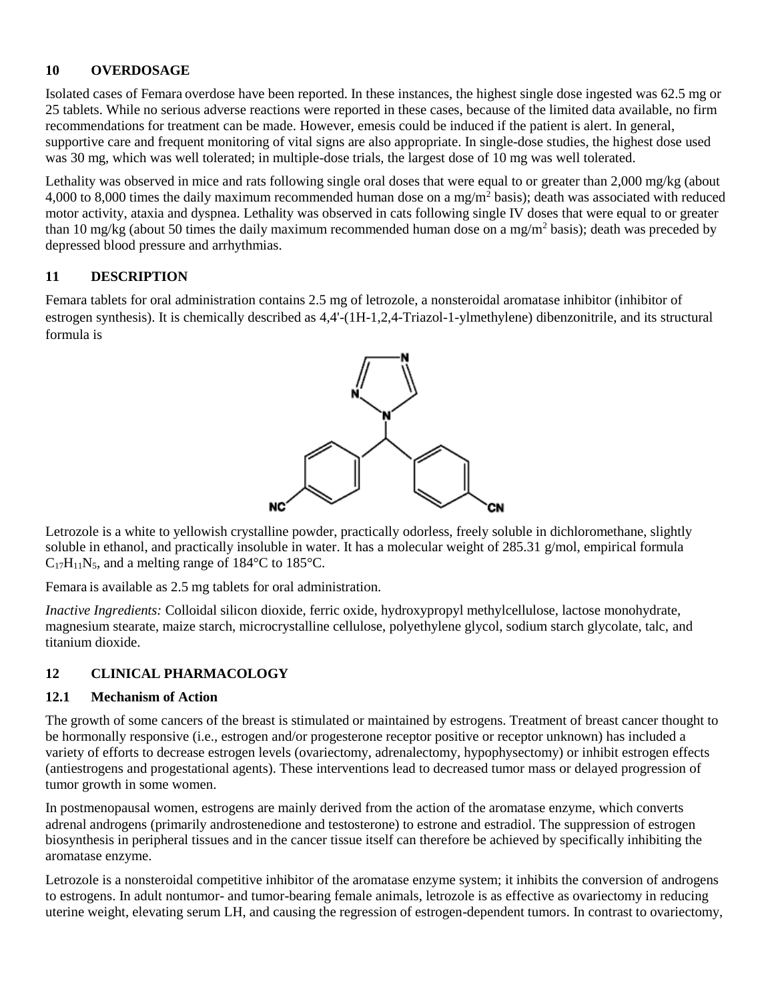## <span id="page-13-0"></span>**10 OVERDOSAGE**

Isolated cases of Femara overdose have been reported. In these instances, the highest single dose ingested was 62.5 mg or 25 tablets. While no serious adverse reactions were reported in these cases, because of the limited data available, no firm recommendations for treatment can be made. However, emesis could be induced if the patient is alert. In general, supportive care and frequent monitoring of vital signs are also appropriate. In single-dose studies, the highest dose used was 30 mg, which was well tolerated; in multiple-dose trials, the largest dose of 10 mg was well tolerated.

Lethality was observed in mice and rats following single oral doses that were equal to or greater than 2,000 mg/kg (about 4,000 to 8,000 times the daily maximum recommended human dose on a mg/m<sup>2</sup> basis); death was associated with reduced motor activity, ataxia and dyspnea. Lethality was observed in cats following single IV doses that were equal to or greater than 10 mg/kg (about 50 times the daily maximum recommended human dose on a mg/m<sup>2</sup> basis); death was preceded by depressed blood pressure and arrhythmias.

## <span id="page-13-1"></span>**11 DESCRIPTION**

Femara tablets for oral administration contains 2.5 mg of letrozole, a nonsteroidal aromatase inhibitor (inhibitor of estrogen synthesis). It is chemically described as 4,4'-(1H-1,2,4-Triazol-1-ylmethylene) dibenzonitrile, and its structural formula is



Letrozole is a white to yellowish crystalline powder, practically odorless, freely soluble in dichloromethane, slightly soluble in ethanol, and practically insoluble in water. It has a molecular weight of 285.31 g/mol, empirical formula  $C_{17}H_{11}N_5$ , and a melting range of 184 $\degree$ C to 185 $\degree$ C.

Femara is available as 2.5 mg tablets for oral administration.

*Inactive Ingredients:* Colloidal silicon dioxide, ferric oxide, hydroxypropyl methylcellulose, lactose monohydrate, magnesium stearate, maize starch, microcrystalline cellulose, polyethylene glycol, sodium starch glycolate, talc, and titanium dioxide.

## <span id="page-13-2"></span>**12 CLINICAL PHARMACOLOGY**

## <span id="page-13-3"></span>**12.1 Mechanism of Action**

The growth of some cancers of the breast is stimulated or maintained by estrogens. Treatment of breast cancer thought to be hormonally responsive (i.e., estrogen and/or progesterone receptor positive or receptor unknown) has included a variety of efforts to decrease estrogen levels (ovariectomy, adrenalectomy, hypophysectomy) or inhibit estrogen effects (antiestrogens and progestational agents). These interventions lead to decreased tumor mass or delayed progression of tumor growth in some women.

In postmenopausal women, estrogens are mainly derived from the action of the aromatase enzyme, which converts adrenal androgens (primarily androstenedione and testosterone) to estrone and estradiol. The suppression of estrogen biosynthesis in peripheral tissues and in the cancer tissue itself can therefore be achieved by specifically inhibiting the aromatase enzyme.

Letrozole is a nonsteroidal competitive inhibitor of the aromatase enzyme system; it inhibits the conversion of androgens to estrogens. In adult nontumor- and tumor-bearing female animals, letrozole is as effective as ovariectomy in reducing uterine weight, elevating serum LH, and causing the regression of estrogen-dependent tumors. In contrast to ovariectomy,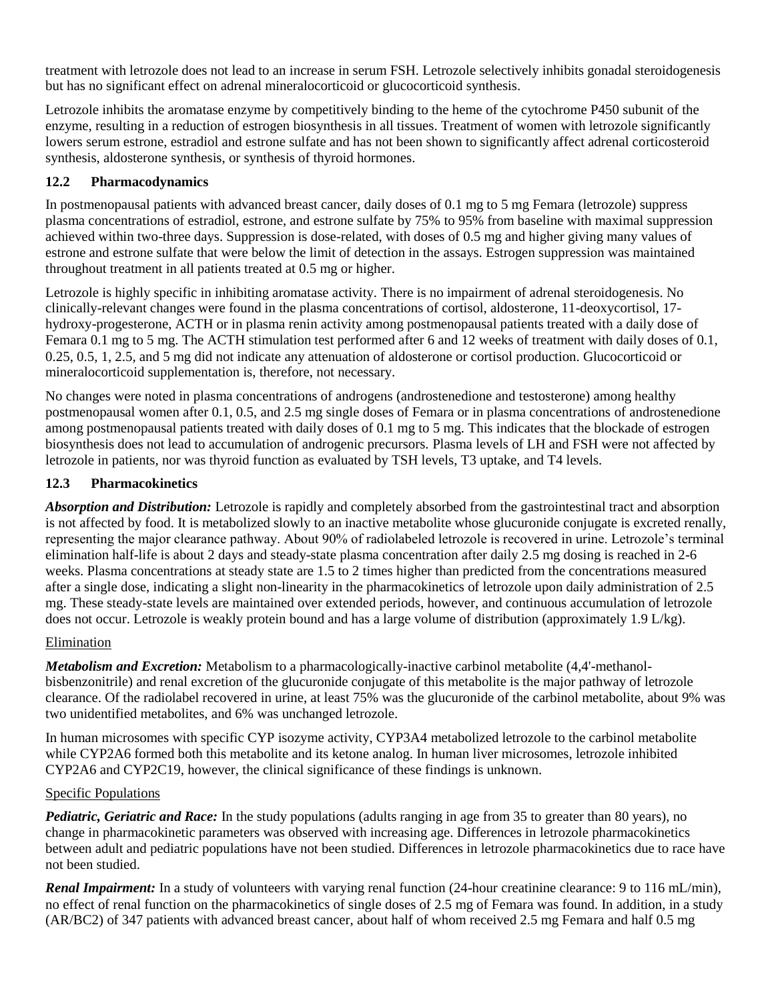treatment with letrozole does not lead to an increase in serum FSH. Letrozole selectively inhibits gonadal steroidogenesis but has no significant effect on adrenal mineralocorticoid or glucocorticoid synthesis.

Letrozole inhibits the aromatase enzyme by competitively binding to the heme of the cytochrome P450 subunit of the enzyme, resulting in a reduction of estrogen biosynthesis in all tissues. Treatment of women with letrozole significantly lowers serum estrone, estradiol and estrone sulfate and has not been shown to significantly affect adrenal corticosteroid synthesis, aldosterone synthesis, or synthesis of thyroid hormones.

# <span id="page-14-0"></span>**12.2 Pharmacodynamics**

In postmenopausal patients with advanced breast cancer, daily doses of 0.1 mg to 5 mg Femara (letrozole) suppress plasma concentrations of estradiol, estrone, and estrone sulfate by 75% to 95% from baseline with maximal suppression achieved within two-three days. Suppression is dose-related, with doses of 0.5 mg and higher giving many values of estrone and estrone sulfate that were below the limit of detection in the assays. Estrogen suppression was maintained throughout treatment in all patients treated at 0.5 mg or higher.

Letrozole is highly specific in inhibiting aromatase activity. There is no impairment of adrenal steroidogenesis. No clinically-relevant changes were found in the plasma concentrations of cortisol, aldosterone, 11-deoxycortisol, 17 hydroxy-progesterone, ACTH or in plasma renin activity among postmenopausal patients treated with a daily dose of Femara 0.1 mg to 5 mg. The ACTH stimulation test performed after 6 and 12 weeks of treatment with daily doses of 0.1, 0.25, 0.5, 1, 2.5, and 5 mg did not indicate any attenuation of aldosterone or cortisol production. Glucocorticoid or mineralocorticoid supplementation is, therefore, not necessary.

No changes were noted in plasma concentrations of androgens (androstenedione and testosterone) among healthy postmenopausal women after 0.1, 0.5, and 2.5 mg single doses of Femara or in plasma concentrations of androstenedione among postmenopausal patients treated with daily doses of 0.1 mg to 5 mg. This indicates that the blockade of estrogen biosynthesis does not lead to accumulation of androgenic precursors. Plasma levels of LH and FSH were not affected by letrozole in patients, nor was thyroid function as evaluated by TSH levels, T3 uptake, and T4 levels.

# <span id="page-14-1"></span>**12.3 Pharmacokinetics**

*Absorption and Distribution:* Letrozole is rapidly and completely absorbed from the gastrointestinal tract and absorption is not affected by food. It is metabolized slowly to an inactive metabolite whose glucuronide conjugate is excreted renally, representing the major clearance pathway. About 90% of radiolabeled letrozole is recovered in urine. Letrozole's terminal elimination half-life is about 2 days and steady-state plasma concentration after daily 2.5 mg dosing is reached in 2-6 weeks. Plasma concentrations at steady state are 1.5 to 2 times higher than predicted from the concentrations measured after a single dose, indicating a slight non-linearity in the pharmacokinetics of letrozole upon daily administration of 2.5 mg. These steady-state levels are maintained over extended periods, however, and continuous accumulation of letrozole does not occur. Letrozole is weakly protein bound and has a large volume of distribution (approximately 1.9 L/kg).

## Elimination

*Metabolism and Excretion:* Metabolism to a pharmacologically-inactive carbinol metabolite (4,4'-methanolbisbenzonitrile) and renal excretion of the glucuronide conjugate of this metabolite is the major pathway of letrozole clearance. Of the radiolabel recovered in urine, at least 75% was the glucuronide of the carbinol metabolite, about 9% was two unidentified metabolites, and 6% was unchanged letrozole.

In human microsomes with specific CYP isozyme activity, CYP3A4 metabolized letrozole to the carbinol metabolite while CYP2A6 formed both this metabolite and its ketone analog. In human liver microsomes, letrozole inhibited CYP2A6 and CYP2C19, however, the clinical significance of these findings is unknown.

## Specific Populations

*Pediatric, Geriatric and Race:* In the study populations (adults ranging in age from 35 to greater than 80 years), no change in pharmacokinetic parameters was observed with increasing age. Differences in letrozole pharmacokinetics between adult and pediatric populations have not been studied. Differences in letrozole pharmacokinetics due to race have not been studied.

*Renal Impairment:* In a study of volunteers with varying renal function (24-hour creatinine clearance: 9 to 116 mL/min), no effect of renal function on the pharmacokinetics of single doses of 2.5 mg of Femara was found. In addition, in a study (AR/BC2) of 347 patients with advanced breast cancer, about half of whom received 2.5 mg Femara and half 0.5 mg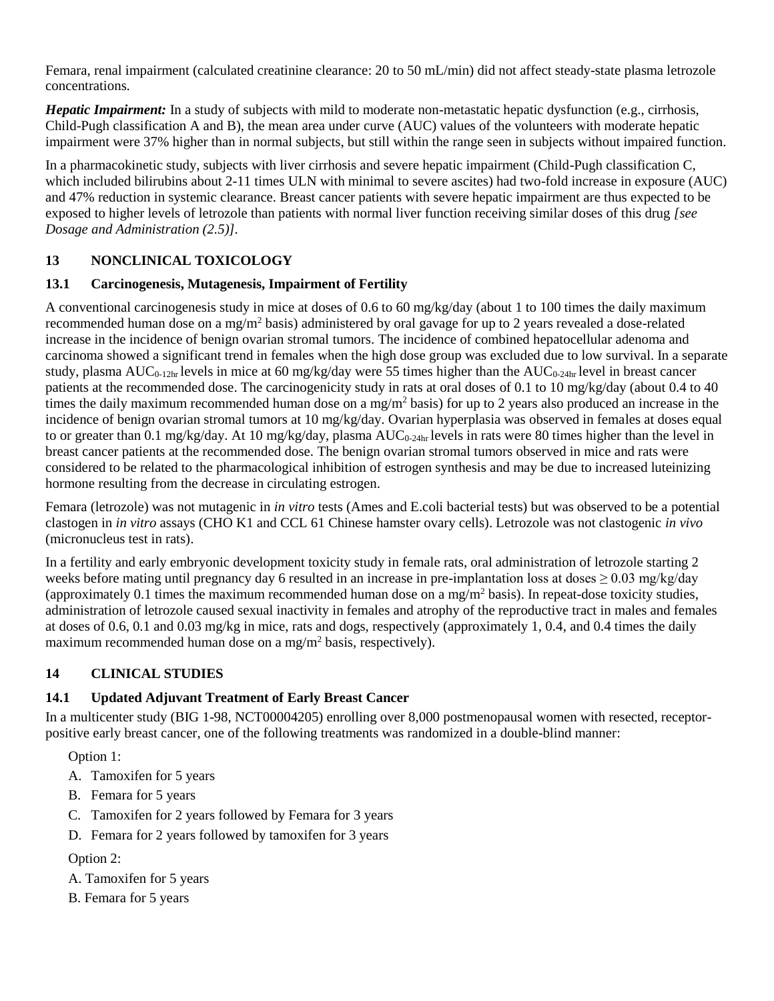Femara, renal impairment (calculated creatinine clearance: 20 to 50 mL/min) did not affect steady-state plasma letrozole concentrations.

*Hepatic Impairment:* In a study of subjects with mild to moderate non-metastatic hepatic dysfunction (e.g., cirrhosis, Child-Pugh classification A and B), the mean area under curve (AUC) values of the volunteers with moderate hepatic impairment were 37% higher than in normal subjects, but still within the range seen in subjects without impaired function.

In a pharmacokinetic study, subjects with liver cirrhosis and severe hepatic impairment (Child-Pugh classification C, which included bilirubins about 2-11 times ULN with minimal to severe ascites) had two-fold increase in exposure (AUC) and 47% reduction in systemic clearance. Breast cancer patients with severe hepatic impairment are thus expected to be exposed to higher levels of letrozole than patients with normal liver function receiving similar doses of this drug *[see Dosage and Administration (2.5)].*

# <span id="page-15-0"></span>**13 NONCLINICAL TOXICOLOGY**

# <span id="page-15-1"></span>**13.1 Carcinogenesis, Mutagenesis, Impairment of Fertility**

A conventional carcinogenesis study in mice at doses of 0.6 to 60 mg/kg/day (about 1 to 100 times the daily maximum recommended human dose on a mg/m<sup>2</sup> basis) administered by oral gavage for up to 2 years revealed a dose-related increase in the incidence of benign ovarian stromal tumors. The incidence of combined hepatocellular adenoma and carcinoma showed a significant trend in females when the high dose group was excluded due to low survival. In a separate study, plasma AUC<sub>0-12hr</sub> levels in mice at 60 mg/kg/day were 55 times higher than the AUC<sub>0-24hr</sub> level in breast cancer patients at the recommended dose. The carcinogenicity study in rats at oral doses of 0.1 to 10 mg/kg/day (about 0.4 to 40 times the daily maximum recommended human dose on a mg/m<sup>2</sup> basis) for up to 2 years also produced an increase in the incidence of benign ovarian stromal tumors at 10 mg/kg/day. Ovarian hyperplasia was observed in females at doses equal to or greater than 0.1 mg/kg/day. At 10 mg/kg/day, plasma  $AUC_{0.24hr}$  levels in rats were 80 times higher than the level in breast cancer patients at the recommended dose. The benign ovarian stromal tumors observed in mice and rats were considered to be related to the pharmacological inhibition of estrogen synthesis and may be due to increased luteinizing hormone resulting from the decrease in circulating estrogen.

Femara (letrozole) was not mutagenic in *in vitro* tests (Ames and E.coli bacterial tests) but was observed to be a potential clastogen in *in vitro* assays (CHO K1 and CCL 61 Chinese hamster ovary cells). Letrozole was not clastogenic *in vivo* (micronucleus test in rats).

In a fertility and early embryonic development toxicity study in female rats, oral administration of letrozole starting 2 weeks before mating until pregnancy day 6 resulted in an increase in pre-implantation loss at doses  $\geq 0.03$  mg/kg/day (approximately 0.1 times the maximum recommended human dose on a mg/m<sup>2</sup> basis). In repeat-dose toxicity studies, administration of letrozole caused sexual inactivity in females and atrophy of the reproductive tract in males and females at doses of 0.6, 0.1 and 0.03 mg/kg in mice, rats and dogs, respectively (approximately 1, 0.4, and 0.4 times the daily maximum recommended human dose on a mg/m<sup>2</sup> basis, respectively).

# <span id="page-15-2"></span>**14 CLINICAL STUDIES**

# <span id="page-15-3"></span>**14.1 Updated Adjuvant Treatment of Early Breast Cancer**

In a multicenter study (BIG 1-98, NCT00004205) enrolling over 8,000 postmenopausal women with resected, receptorpositive early breast cancer, one of the following treatments was randomized in a double-blind manner:

Option 1:

- A. Tamoxifen for 5 years
- B. Femara for 5 years
- C. Tamoxifen for 2 years followed by Femara for 3 years
- D. Femara for 2 years followed by tamoxifen for 3 years

# Option 2:

- A. Tamoxifen for 5 years
- B. Femara for 5 years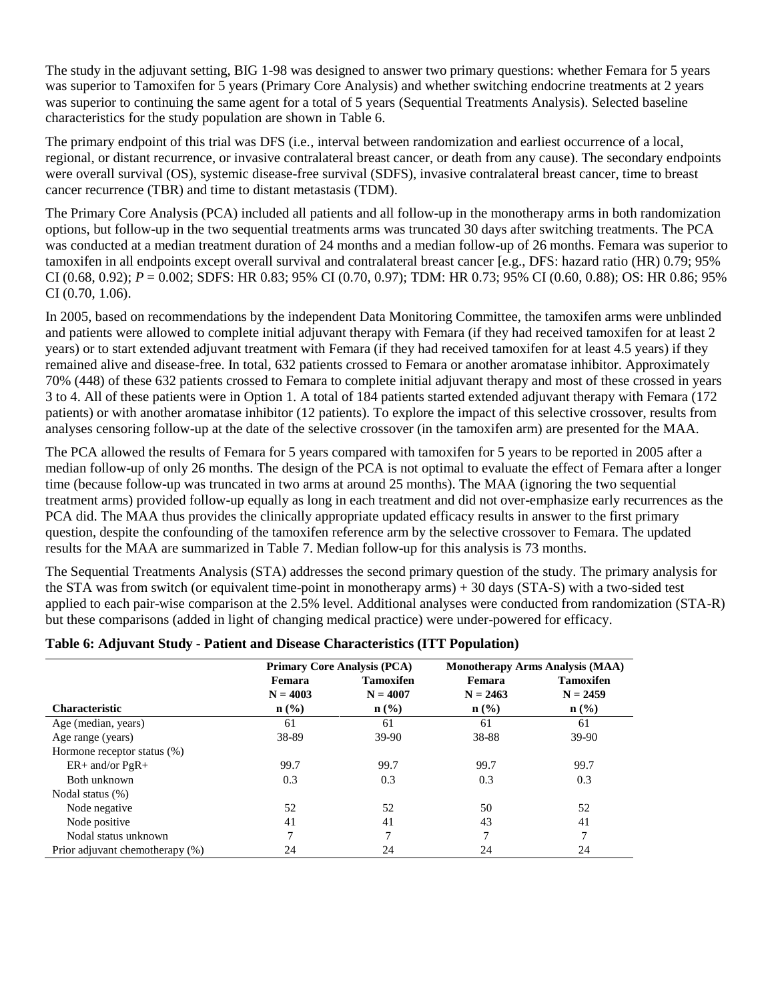The study in the adjuvant setting, BIG 1-98 was designed to answer two primary questions: whether Femara for 5 years was superior to Tamoxifen for 5 years (Primary Core Analysis) and whether switching endocrine treatments at 2 years was superior to continuing the same agent for a total of 5 years (Sequential Treatments Analysis). Selected baseline characteristics for the study population are shown in Table 6.

The primary endpoint of this trial was DFS (i.e., interval between randomization and earliest occurrence of a local, regional, or distant recurrence, or invasive contralateral breast cancer, or death from any cause). The secondary endpoints were overall survival (OS), systemic disease-free survival (SDFS), invasive contralateral breast cancer, time to breast cancer recurrence (TBR) and time to distant metastasis (TDM).

The Primary Core Analysis (PCA) included all patients and all follow-up in the monotherapy arms in both randomization options, but follow-up in the two sequential treatments arms was truncated 30 days after switching treatments. The PCA was conducted at a median treatment duration of 24 months and a median follow-up of 26 months. Femara was superior to tamoxifen in all endpoints except overall survival and contralateral breast cancer [e.g., DFS: hazard ratio (HR) 0.79; 95% CI (0.68, 0.92); *P* = 0.002; SDFS: HR 0.83; 95% CI (0.70, 0.97); TDM: HR 0.73; 95% CI (0.60, 0.88); OS: HR 0.86; 95% CI (0.70, 1.06).

In 2005, based on recommendations by the independent Data Monitoring Committee, the tamoxifen arms were unblinded and patients were allowed to complete initial adjuvant therapy with Femara (if they had received tamoxifen for at least 2 years) or to start extended adjuvant treatment with Femara (if they had received tamoxifen for at least 4.5 years) if they remained alive and disease-free. In total, 632 patients crossed to Femara or another aromatase inhibitor. Approximately 70% (448) of these 632 patients crossed to Femara to complete initial adjuvant therapy and most of these crossed in years 3 to 4. All of these patients were in Option 1. A total of 184 patients started extended adjuvant therapy with Femara (172 patients) or with another aromatase inhibitor (12 patients). To explore the impact of this selective crossover, results from analyses censoring follow-up at the date of the selective crossover (in the tamoxifen arm) are presented for the MAA.

The PCA allowed the results of Femara for 5 years compared with tamoxifen for 5 years to be reported in 2005 after a median follow-up of only 26 months. The design of the PCA is not optimal to evaluate the effect of Femara after a longer time (because follow-up was truncated in two arms at around 25 months). The MAA (ignoring the two sequential treatment arms) provided follow-up equally as long in each treatment and did not over-emphasize early recurrences as the PCA did. The MAA thus provides the clinically appropriate updated efficacy results in answer to the first primary question, despite the confounding of the tamoxifen reference arm by the selective crossover to Femara. The updated results for the MAA are summarized in Table 7. Median follow-up for this analysis is 73 months.

The Sequential Treatments Analysis (STA) addresses the second primary question of the study. The primary analysis for the STA was from switch (or equivalent time-point in monotherapy arms) + 30 days (STA-S) with a two-sided test applied to each pair-wise comparison at the 2.5% level. Additional analyses were conducted from randomization (STA-R) but these comparisons (added in light of changing medical practice) were under-powered for efficacy.

|                                 | <b>Primary Core Analysis (PCA)</b> |                  | <b>Monotherapy Arms Analysis (MAA)</b> |                  |  |
|---------------------------------|------------------------------------|------------------|----------------------------------------|------------------|--|
|                                 | Femara                             | <b>Tamoxifen</b> | Femara                                 | <b>Tamoxifen</b> |  |
|                                 | $N = 4003$                         | $N = 4007$       | $N = 2463$                             | $N = 2459$       |  |
| <b>Characteristic</b>           | $n$ (%)                            | $n$ (%)          | $n\left(\frac{0}{0}\right)$            | $\mathbf{n}(\%)$ |  |
| Age (median, years)             | 61                                 | 61               | 61                                     | 61               |  |
| Age range (years)               | 38-89                              | 39-90            | 38-88                                  | 39-90            |  |
| Hormone receptor status (%)     |                                    |                  |                                        |                  |  |
| $ER+$ and/or $PgR+$             | 99.7                               | 99.7             | 99.7                                   | 99.7             |  |
| Both unknown                    | 0.3                                | 0.3              | 0.3                                    | 0.3              |  |
| Nodal status (%)                |                                    |                  |                                        |                  |  |
| Node negative                   | 52                                 | 52               | 50                                     | 52               |  |
| Node positive                   | 41                                 | 41               | 43                                     | 41               |  |
| Nodal status unknown            | 7                                  |                  | 7                                      | 7                |  |
| Prior adjuvant chemotherapy (%) | 24                                 | 24               | 24                                     | 24               |  |

#### **Table 6: Adjuvant Study - Patient and Disease Characteristics (ITT Population)**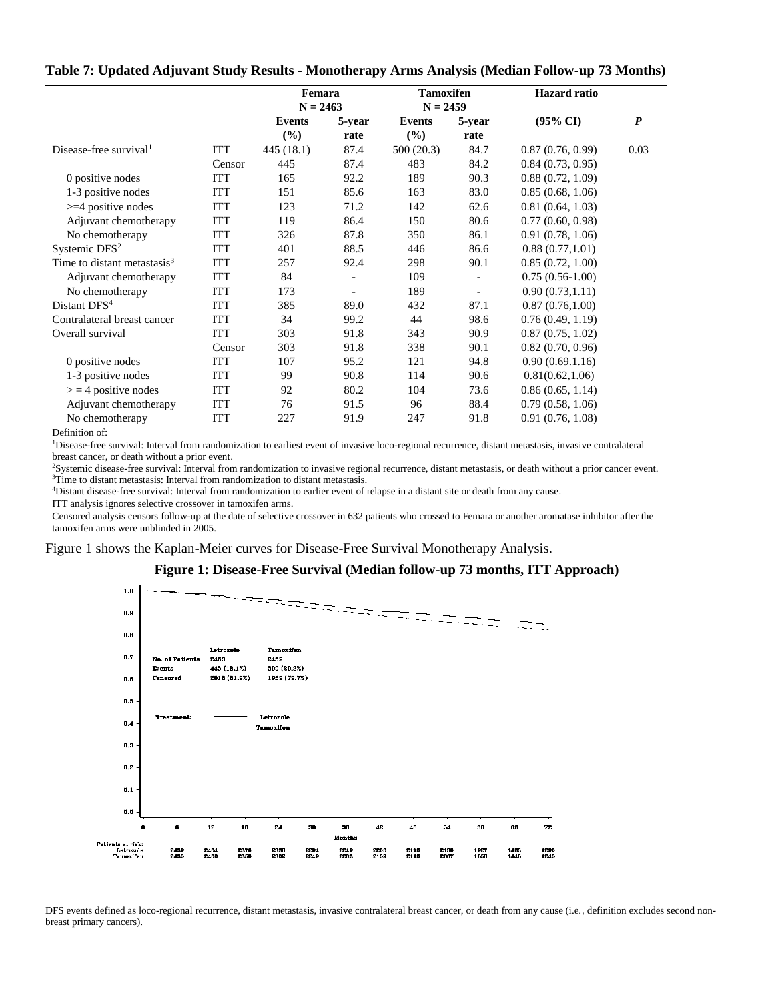|  |  | Table 7: Updated Adjuvant Study Results - Monotherapy Arms Analysis (Median Follow-up 73 Months) |  |
|--|--|--------------------------------------------------------------------------------------------------|--|
|  |  |                                                                                                  |  |

|                                    |            | Femara        |        | <b>Tamoxifen</b> |                          | <b>Hazard</b> ratio |                  |
|------------------------------------|------------|---------------|--------|------------------|--------------------------|---------------------|------------------|
|                                    |            | $N = 2463$    |        | $N = 2459$       |                          |                     |                  |
|                                    |            | <b>Events</b> | 5-year | Events           | 5-year                   | $(95\% \text{ CI})$ | $\boldsymbol{P}$ |
|                                    |            | $(\%)$        | rate   | $(\%)$           | rate                     |                     |                  |
| Disease-free survival <sup>1</sup> | <b>ITT</b> | 445(18.1)     | 87.4   | 500(20.3)        | 84.7                     | 0.87(0.76, 0.99)    | 0.03             |
|                                    | Censor     | 445           | 87.4   | 483              | 84.2                     | 0.84(0.73, 0.95)    |                  |
| 0 positive nodes                   | <b>ITT</b> | 165           | 92.2   | 189              | 90.3                     | 0.88(0.72, 1.09)    |                  |
| 1-3 positive nodes                 | ITT        | 151           | 85.6   | 163              | 83.0                     | 0.85(0.68, 1.06)    |                  |
| $>=$ 4 positive nodes              | <b>ITT</b> | 123           | 71.2   | 142              | 62.6                     | 0.81(0.64, 1.03)    |                  |
| Adjuvant chemotherapy              | <b>ITT</b> | 119           | 86.4   | 150              | 80.6                     | 0.77(0.60, 0.98)    |                  |
| No chemotherapy                    | <b>ITT</b> | 326           | 87.8   | 350              | 86.1                     | 0.91(0.78, 1.06)    |                  |
| Systemic $DFS2$                    | <b>ITT</b> | 401           | 88.5   | 446              | 86.6                     | 0.88(0.77, 1.01)    |                  |
| Time to distant metastasis $3$     | ITT        | 257           | 92.4   | 298              | 90.1                     | 0.85(0.72, 1.00)    |                  |
| Adjuvant chemotherapy              | <b>ITT</b> | 84            |        | 109              | $\overline{\phantom{a}}$ | $0.75(0.56-1.00)$   |                  |
| No chemotherapy                    | ITT        | 173           |        | 189              | $\overline{\phantom{a}}$ | 0.90(0.73, 1.11)    |                  |
| Distant DFS <sup>4</sup>           | <b>ITT</b> | 385           | 89.0   | 432              | 87.1                     | 0.87(0.76, 1.00)    |                  |
| Contralateral breast cancer        | <b>ITT</b> | 34            | 99.2   | 44               | 98.6                     | 0.76(0.49, 1.19)    |                  |
| Overall survival                   | <b>ITT</b> | 303           | 91.8   | 343              | 90.9                     | 0.87(0.75, 1.02)    |                  |
|                                    | Censor     | 303           | 91.8   | 338              | 90.1                     | 0.82(0.70, 0.96)    |                  |
| 0 positive nodes                   | <b>ITT</b> | 107           | 95.2   | 121              | 94.8                     | 0.90(0.69.1.16)     |                  |
| 1-3 positive nodes                 | ITT        | 99            | 90.8   | 114              | 90.6                     | 0.81(0.62, 1.06)    |                  |
| $>$ = 4 positive nodes             | <b>ITT</b> | 92            | 80.2   | 104              | 73.6                     | 0.86(0.65, 1.14)    |                  |
| Adjuvant chemotherapy              | <b>ITT</b> | 76            | 91.5   | 96               | 88.4                     | 0.79(0.58, 1.06)    |                  |
| No chemotherapy                    | ITT        | 227           | 91.9   | 247              | 91.8                     | 0.91(0.76, 1.08)    |                  |

Definition of:

<sup>1</sup>Disease-free survival: Interval from randomization to earliest event of invasive loco-regional recurrence, distant metastasis, invasive contralateral breast cancer, or death without a prior event.

<sup>2</sup>Systemic disease-free survival: Interval from randomization to invasive regional recurrence, distant metastasis, or death without a prior cancer event. <sup>3</sup>Time to distant metastasis: Interval from randomization to distant metastasis.

<sup>4</sup>Distant disease-free survival: Interval from randomization to earlier event of relapse in a distant site or death from any cause.

ITT analysis ignores selective crossover in tamoxifen arms.

Censored analysis censors follow-up at the date of selective crossover in 632 patients who crossed to Femara or another aromatase inhibitor after the tamoxifen arms were unblinded in 2005.

Figure 1 shows the Kaplan-Meier curves for Disease-Free Survival Monotherapy Analysis.

#### **Figure 1: Disease-Free Survival (Median follow-up 73 months, ITT Approach)**



DFS events defined as loco-regional recurrence, distant metastasis, invasive contralateral breast cancer, or death from any cause (i.e., definition excludes second nonbreast primary cancers).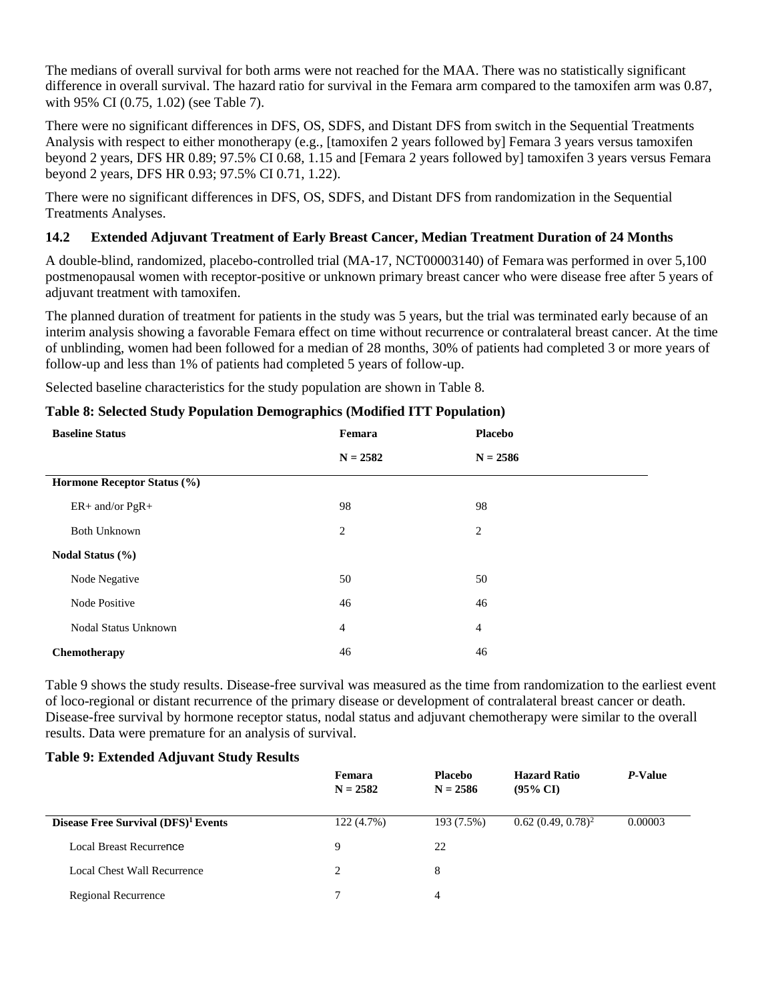The medians of overall survival for both arms were not reached for the MAA. There was no statistically significant difference in overall survival. The hazard ratio for survival in the Femara arm compared to the tamoxifen arm was 0.87, with 95% CI (0.75, 1.02) (see Table 7).

There were no significant differences in DFS, OS, SDFS, and Distant DFS from switch in the Sequential Treatments Analysis with respect to either monotherapy (e.g., [tamoxifen 2 years followed by] Femara 3 years versus tamoxifen beyond 2 years, DFS HR 0.89; 97.5% CI 0.68, 1.15 and [Femara 2 years followed by] tamoxifen 3 years versus Femara beyond 2 years, DFS HR 0.93; 97.5% CI 0.71, 1.22).

There were no significant differences in DFS, OS, SDFS, and Distant DFS from randomization in the Sequential Treatments Analyses.

#### <span id="page-18-0"></span>**14.2 Extended Adjuvant Treatment of Early Breast Cancer, Median Treatment Duration of 24 Months**

A double-blind, randomized, placebo-controlled trial (MA-17, NCT00003140) of Femara was performed in over 5,100 postmenopausal women with receptor-positive or unknown primary breast cancer who were disease free after 5 years of adjuvant treatment with tamoxifen.

The planned duration of treatment for patients in the study was 5 years, but the trial was terminated early because of an interim analysis showing a favorable Femara effect on time without recurrence or contralateral breast cancer. At the time of unblinding, women had been followed for a median of 28 months, 30% of patients had completed 3 or more years of follow-up and less than 1% of patients had completed 5 years of follow-up.

Selected baseline characteristics for the study population are shown in Table 8.

#### **Table 8: Selected Study Population Demographics (Modified ITT Population)**

| <b>Baseline Status</b>      | Femara         | <b>Placebo</b> |  |
|-----------------------------|----------------|----------------|--|
|                             | $N = 2582$     | $N = 2586$     |  |
| Hormone Receptor Status (%) |                |                |  |
| ER+ and/or PgR+             | 98             | 98             |  |
| <b>Both Unknown</b>         | 2              | $\overline{2}$ |  |
| Nodal Status (%)            |                |                |  |
| Node Negative               | 50             | 50             |  |
| <b>Node Positive</b>        | 46             | 46             |  |
| Nodal Status Unknown        | $\overline{4}$ | $\overline{4}$ |  |
| Chemotherapy                | 46             | 46             |  |

Table 9 shows the study results. Disease-free survival was measured as the time from randomization to the earliest event of loco-regional or distant recurrence of the primary disease or development of contralateral breast cancer or death. Disease-free survival by hormone receptor status, nodal status and adjuvant chemotherapy were similar to the overall results. Data were premature for an analysis of survival.

#### **Table 9: Extended Adjuvant Study Results**

|                                                 | Femara<br>$N = 2582$ | <b>Placebo</b><br>$N = 2586$ | <b>Hazard Ratio</b><br>$(95\% \text{ CI})$ | <i>P</i> -Value |
|-------------------------------------------------|----------------------|------------------------------|--------------------------------------------|-----------------|
| Disease Free Survival (DFS) <sup>1</sup> Events | 122(4.7%)            | 193 (7.5%)                   | $0.62(0.49, 0.78)^2$                       | 0.00003         |
| Local Breast Recurrence                         | 9                    | 22                           |                                            |                 |
| Local Chest Wall Recurrence                     | $\mathfrak{D}$       | 8                            |                                            |                 |
| <b>Regional Recurrence</b>                      | 7                    | 4                            |                                            |                 |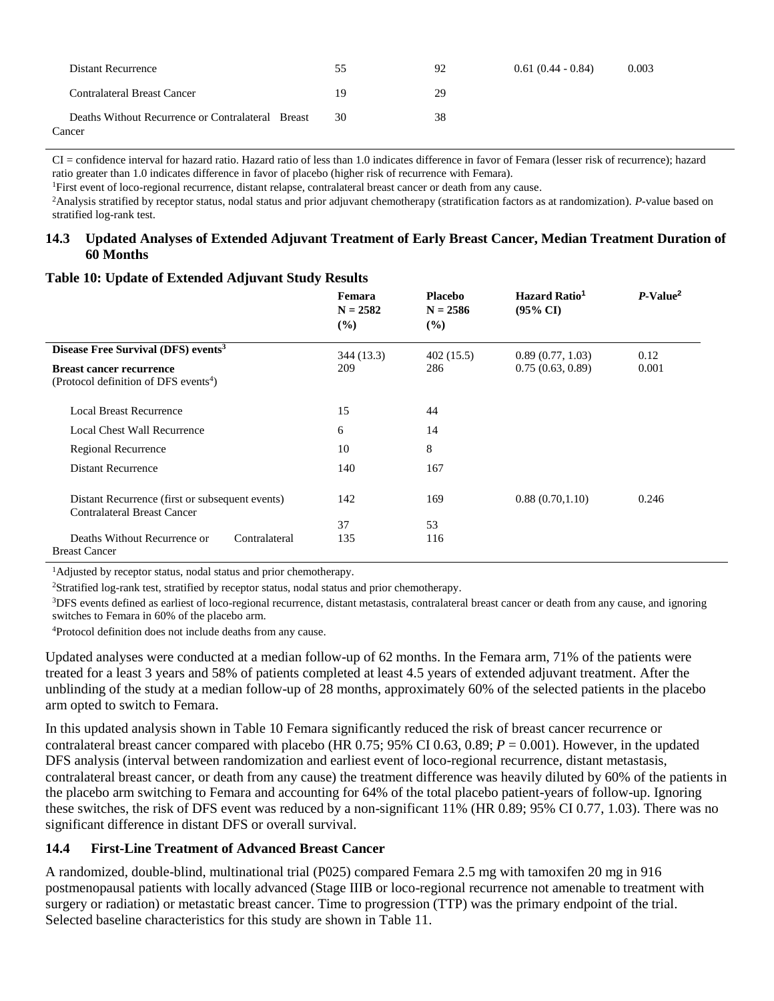| Distant Recurrence                                          | 55 | 92 | $0.61(0.44 - 0.84)$ | 0.003 |
|-------------------------------------------------------------|----|----|---------------------|-------|
| Contralateral Breast Cancer                                 | 19 | 29 |                     |       |
| Deaths Without Recurrence or Contralateral Breast<br>Cancer | 30 | 38 |                     |       |

CI = confidence interval for hazard ratio. Hazard ratio of less than 1.0 indicates difference in favor of Femara (lesser risk of recurrence); hazard ratio greater than 1.0 indicates difference in favor of placebo (higher risk of recurrence with Femara).

<sup>1</sup>First event of loco-regional recurrence, distant relapse, contralateral breast cancer or death from any cause.

<sup>2</sup>Analysis stratified by receptor status, nodal status and prior adjuvant chemotherapy (stratification factors as at randomization). *P*-value based on stratified log-rank test.

#### <span id="page-19-0"></span>**14.3 Updated Analyses of Extended Adjuvant Treatment of Early Breast Cancer, Median Treatment Duration of 60 Months**

#### **Table 10: Update of Extended Adjuvant Study Results**

|                                                                                       | Femara<br>$N = 2582$<br>$($ %) | <b>Placebo</b><br>$N = 2586$<br>$($ %) | Hazard Ratio <sup>1</sup><br>$(95\% \text{ CI})$ | $P-Value2$ |
|---------------------------------------------------------------------------------------|--------------------------------|----------------------------------------|--------------------------------------------------|------------|
| Disease Free Survival (DFS) events <sup>3</sup>                                       | 344 (13.3)                     | 402(15.5)                              | 0.89(0.77, 1.03)                                 | 0.12       |
| <b>Breast cancer recurrence</b><br>(Protocol definition of DFS events <sup>4</sup> )  | 209                            | 286                                    | 0.75(0.63, 0.89)                                 | 0.001      |
| Local Breast Recurrence                                                               | 15                             | 44                                     |                                                  |            |
| <b>Local Chest Wall Recurrence</b>                                                    | 6                              | 14                                     |                                                  |            |
| Regional Recurrence                                                                   | 10                             | 8                                      |                                                  |            |
| <b>Distant Recurrence</b>                                                             | 140                            | 167                                    |                                                  |            |
| Distant Recurrence (first or subsequent events)<br><b>Contralateral Breast Cancer</b> | 142                            | 169                                    | 0.88(0.70, 1.10)                                 | 0.246      |
|                                                                                       | 37                             | 53                                     |                                                  |            |
| Deaths Without Recurrence or<br>Contralateral<br><b>Breast Cancer</b>                 | 135                            | 116                                    |                                                  |            |

<sup>1</sup>Adjusted by receptor status, nodal status and prior chemotherapy.

<sup>2</sup>Stratified log-rank test, stratified by receptor status, nodal status and prior chemotherapy.

<sup>3</sup>DFS events defined as earliest of loco-regional recurrence, distant metastasis, contralateral breast cancer or death from any cause, and ignoring switches to Femara in 60% of the placebo arm.

<sup>4</sup>Protocol definition does not include deaths from any cause.

Updated analyses were conducted at a median follow-up of 62 months. In the Femara arm, 71% of the patients were treated for a least 3 years and 58% of patients completed at least 4.5 years of extended adjuvant treatment. After the unblinding of the study at a median follow-up of 28 months, approximately 60% of the selected patients in the placebo arm opted to switch to Femara.

In this updated analysis shown in Table 10 Femara significantly reduced the risk of breast cancer recurrence or contralateral breast cancer compared with placebo (HR 0.75; 95% CI 0.63, 0.89; *P* = 0.001). However, in the updated DFS analysis (interval between randomization and earliest event of loco-regional recurrence, distant metastasis, contralateral breast cancer, or death from any cause) the treatment difference was heavily diluted by 60% of the patients in the placebo arm switching to Femara and accounting for 64% of the total placebo patient-years of follow-up. Ignoring these switches, the risk of DFS event was reduced by a non-significant 11% (HR 0.89; 95% CI 0.77, 1.03). There was no significant difference in distant DFS or overall survival.

#### <span id="page-19-1"></span>**14.4 First-Line Treatment of Advanced Breast Cancer**

A randomized, double-blind, multinational trial (P025) compared Femara 2.5 mg with tamoxifen 20 mg in 916 postmenopausal patients with locally advanced (Stage IIIB or loco-regional recurrence not amenable to treatment with surgery or radiation) or metastatic breast cancer. Time to progression (TTP) was the primary endpoint of the trial. Selected baseline characteristics for this study are shown in Table 11.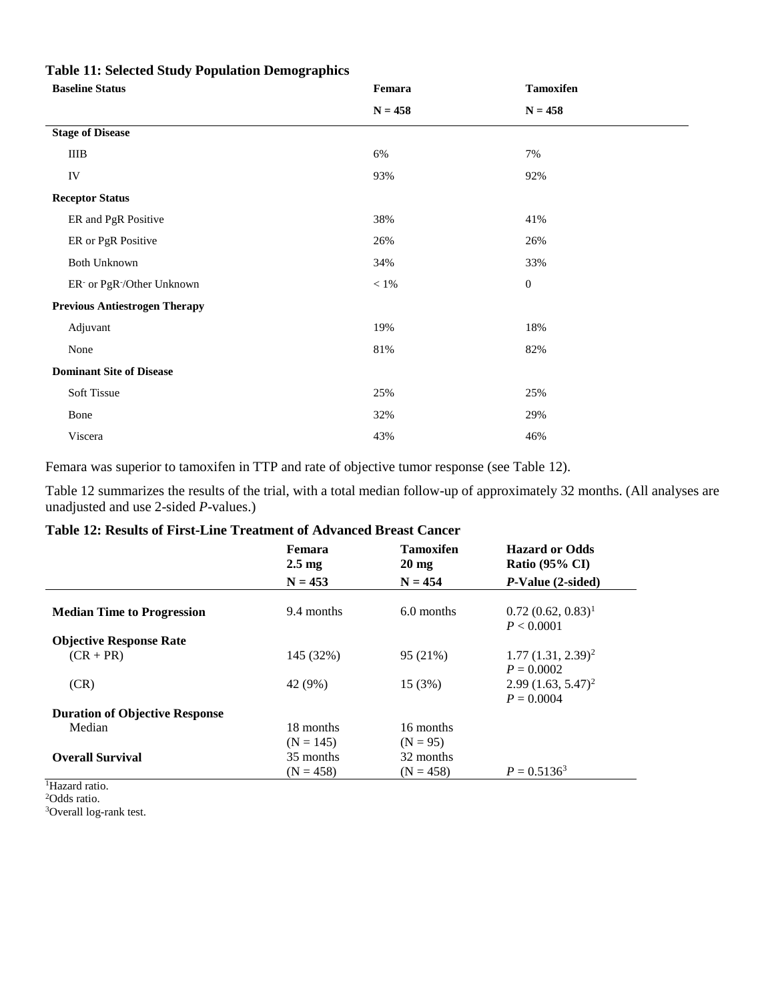| <b>Baseline Status</b>                             | Femara    | <b>Tamoxifen</b> |
|----------------------------------------------------|-----------|------------------|
|                                                    | $N = 458$ | $N = 458$        |
| <b>Stage of Disease</b>                            |           |                  |
| IIIB                                               | 6%        | 7%               |
| IV                                                 | 93%       | 92%              |
| <b>Receptor Status</b>                             |           |                  |
| ER and PgR Positive                                | 38%       | 41%              |
| ER or PgR Positive                                 | 26%       | 26%              |
| Both Unknown                                       | 34%       | 33%              |
| ER <sup>-</sup> or PgR <sup>-</sup> /Other Unknown | $< 1\%$   | $\mathbf{0}$     |
| <b>Previous Antiestrogen Therapy</b>               |           |                  |
| Adjuvant                                           | 19%       | 18%              |
| None                                               | 81%       | 82%              |
| <b>Dominant Site of Disease</b>                    |           |                  |
| Soft Tissue                                        | 25%       | 25%              |
| Bone                                               | 32%       | 29%              |
| Viscera                                            | 43%       | 46%              |

#### **Table 11: Selected Study Population Demographics**

Femara was superior to tamoxifen in TTP and rate of objective tumor response (see Table 12).

Table 12 summarizes the results of the trial, with a total median follow-up of approximately 32 months. (All analyses are unadjusted and use 2-sided *P*-values.)

## **Table 12: Results of First-Line Treatment of Advanced Breast Cancer**

|                                       | <b>Femara</b><br>$2.5 \text{ mg}$ | <b>Tamoxifen</b><br>$20 \text{ mg}$ | <b>Hazard or Odds</b><br>Ratio $(95\% \text{ CI})$ |
|---------------------------------------|-----------------------------------|-------------------------------------|----------------------------------------------------|
|                                       | $N = 453$                         | $N = 454$                           | <i>P</i> -Value (2-sided)                          |
| <b>Median Time to Progression</b>     | 9.4 months                        | 6.0 months                          | $(0.72\ (0.62, 0.83)^1)$<br>P < 0.0001             |
| <b>Objective Response Rate</b>        |                                   |                                     |                                                    |
| $(CR + PR)$                           | 145 (32%)                         | 95 (21%)                            | $1.77(1.31, 2.39)^2$                               |
|                                       |                                   |                                     | $P = 0.0002$                                       |
| (CR)                                  | 42 (9%)                           | 15 (3%)                             | $2.99(1.63, 5.47)^2$                               |
|                                       |                                   |                                     | $P = 0.0004$                                       |
| <b>Duration of Objective Response</b> |                                   |                                     |                                                    |
| Median                                | 18 months                         | 16 months                           |                                                    |
|                                       | $(N = 145)$                       | $(N = 95)$                          |                                                    |
| <b>Overall Survival</b>               | 35 months                         | 32 months                           |                                                    |
|                                       | $(N = 458)$                       | $(N = 458)$                         | $P = 0.5136^3$                                     |

<sup>1</sup>Hazard ratio.

<sup>2</sup>Odds ratio.

<sup>3</sup>Overall log-rank test.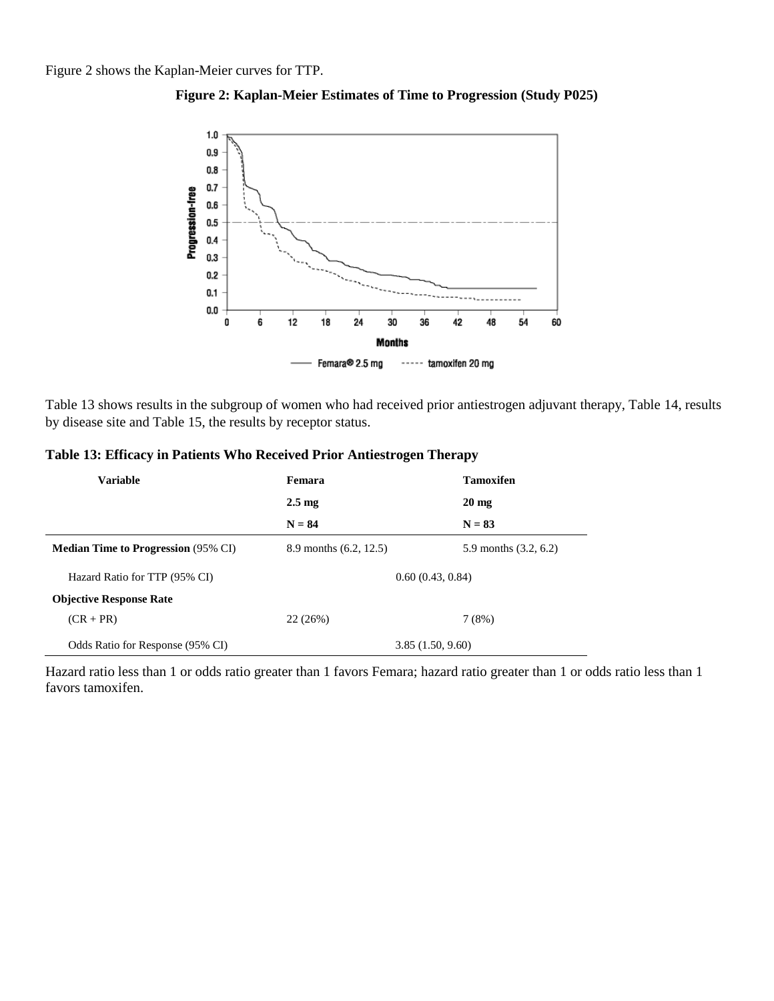Figure 2 shows the Kaplan-Meier curves for TTP.





Table 13 shows results in the subgroup of women who had received prior antiestrogen adjuvant therapy, Table 14, results by disease site and Table 15, the results by receptor status.

|  |  |  |  | Table 13: Efficacy in Patients Who Received Prior Antiestrogen Therapy |  |
|--|--|--|--|------------------------------------------------------------------------|--|
|  |  |  |  |                                                                        |  |

| <b>Variable</b>                            | Femara                 | <b>Tamoxifen</b>        |
|--------------------------------------------|------------------------|-------------------------|
|                                            | $2.5 \text{ mg}$       | $20 \text{ mg}$         |
|                                            | $N = 84$               | $N = 83$                |
| <b>Median Time to Progression (95% CI)</b> | 8.9 months (6.2, 12.5) | 5.9 months $(3.2, 6.2)$ |
| Hazard Ratio for TTP (95% CI)              | 0.60(0.43, 0.84)       |                         |
| <b>Objective Response Rate</b>             |                        |                         |
| $(CR + PR)$                                | 22(26%)                | 7(8%)                   |
| Odds Ratio for Response (95% CI)           |                        | 3.85(1.50, 9.60)        |

Hazard ratio less than 1 or odds ratio greater than 1 favors Femara; hazard ratio greater than 1 or odds ratio less than 1 favors tamoxifen.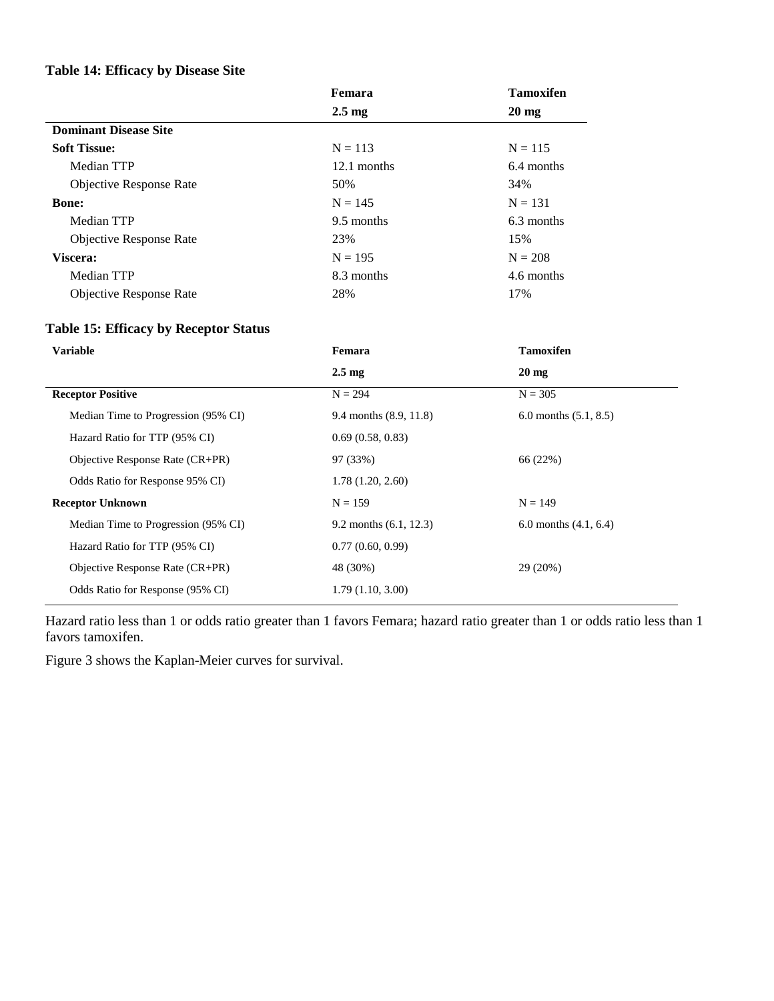#### **Table 14: Efficacy by Disease Site**

|                                | Femara           | <b>Tamoxifen</b> |
|--------------------------------|------------------|------------------|
|                                | $2.5 \text{ mg}$ | $20 \text{ mg}$  |
| <b>Dominant Disease Site</b>   |                  |                  |
| <b>Soft Tissue:</b>            | $N = 113$        | $N = 115$        |
| Median TTP                     | 12.1 months      | 6.4 months       |
| <b>Objective Response Rate</b> | 50%              | 34%              |
| <b>Bone:</b>                   | $N = 145$        | $N = 131$        |
| Median TTP                     | 9.5 months       | 6.3 months       |
| <b>Objective Response Rate</b> | 23%              | 15%              |
| Viscera:                       | $N = 195$        | $N = 208$        |
| Median TTP                     | 8.3 months       | 4.6 months       |
| <b>Objective Response Rate</b> | 28%              | 17%              |

# **Table 15: Efficacy by Receptor Status**

| Femara                   | <b>Tamoxifen</b>        |  |
|--------------------------|-------------------------|--|
| $2.5 \text{ mg}$         | $20 \text{ mg}$         |  |
| $N = 294$                | $N = 305$               |  |
| 9.4 months (8.9, 11.8)   | 6.0 months $(5.1, 8.5)$ |  |
| 0.69(0.58, 0.83)         |                         |  |
| 97 (33%)                 | 66 (22%)                |  |
| 1.78(1.20, 2.60)         |                         |  |
| $N = 159$                | $N = 149$               |  |
| 9.2 months $(6.1, 12.3)$ | 6.0 months $(4.1, 6.4)$ |  |
| 0.77(0.60, 0.99)         |                         |  |
| 48 (30%)                 | 29 (20%)                |  |
| 1.79(1.10, 3.00)         |                         |  |
|                          |                         |  |

Hazard ratio less than 1 or odds ratio greater than 1 favors Femara; hazard ratio greater than 1 or odds ratio less than 1 favors tamoxifen.

Figure 3 shows the Kaplan-Meier curves for survival.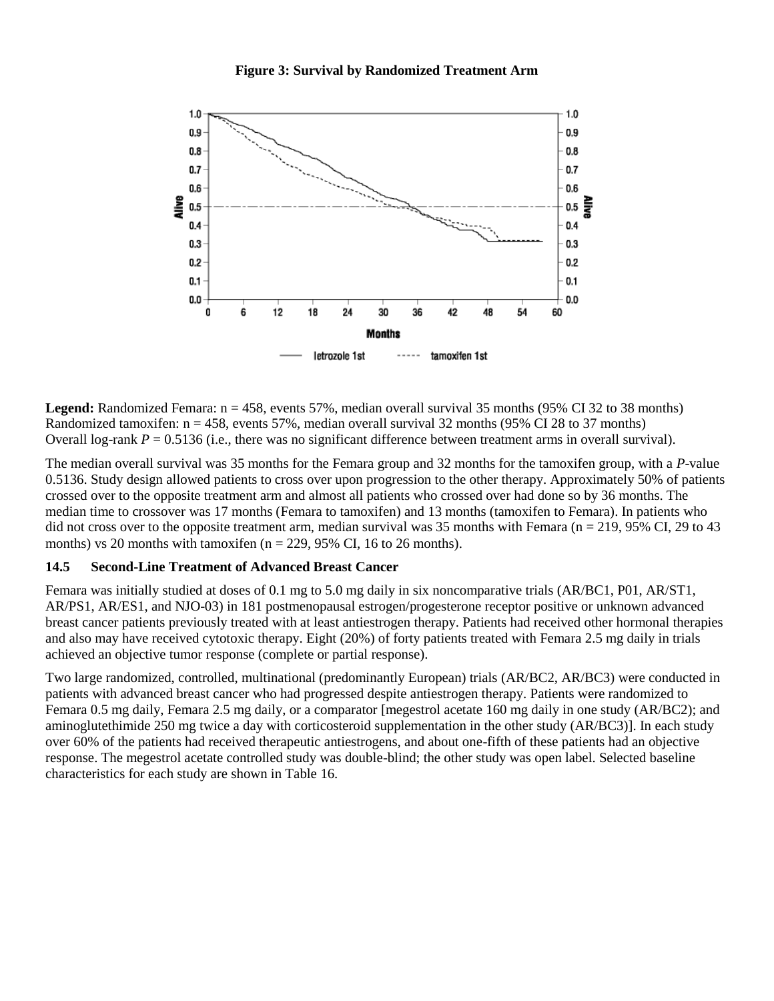

**Legend:** Randomized Femara: n = 458, events 57%, median overall survival 35 months (95% CI 32 to 38 months) Randomized tamoxifen:  $n = 458$ , events 57%, median overall survival 32 months (95% CI 28 to 37 months) Overall log-rank  $P = 0.5136$  (i.e., there was no significant difference between treatment arms in overall survival).

The median overall survival was 35 months for the Femara group and 32 months for the tamoxifen group, with a *P*-value 0.5136. Study design allowed patients to cross over upon progression to the other therapy. Approximately 50% of patients crossed over to the opposite treatment arm and almost all patients who crossed over had done so by 36 months. The median time to crossover was 17 months (Femara to tamoxifen) and 13 months (tamoxifen to Femara). In patients who did not cross over to the opposite treatment arm, median survival was 35 months with Femara ( $n = 219,95\%$  CI, 29 to 43 months) vs 20 months with tamoxifen ( $n = 229$ , 95% CI, 16 to 26 months).

#### <span id="page-23-0"></span>**14.5 Second-Line Treatment of Advanced Breast Cancer**

Femara was initially studied at doses of 0.1 mg to 5.0 mg daily in six noncomparative trials (AR/BC1, P01, AR/ST1, AR/PS1, AR/ES1, and NJO-03) in 181 postmenopausal estrogen/progesterone receptor positive or unknown advanced breast cancer patients previously treated with at least antiestrogen therapy. Patients had received other hormonal therapies and also may have received cytotoxic therapy. Eight (20%) of forty patients treated with Femara 2.5 mg daily in trials achieved an objective tumor response (complete or partial response).

Two large randomized, controlled, multinational (predominantly European) trials (AR/BC2, AR/BC3) were conducted in patients with advanced breast cancer who had progressed despite antiestrogen therapy. Patients were randomized to Femara 0.5 mg daily, Femara 2.5 mg daily, or a comparator [megestrol acetate 160 mg daily in one study (AR/BC2); and aminoglutethimide 250 mg twice a day with corticosteroid supplementation in the other study (AR/BC3)]. In each study over 60% of the patients had received therapeutic antiestrogens, and about one-fifth of these patients had an objective response. The megestrol acetate controlled study was double-blind; the other study was open label. Selected baseline characteristics for each study are shown in Table 16.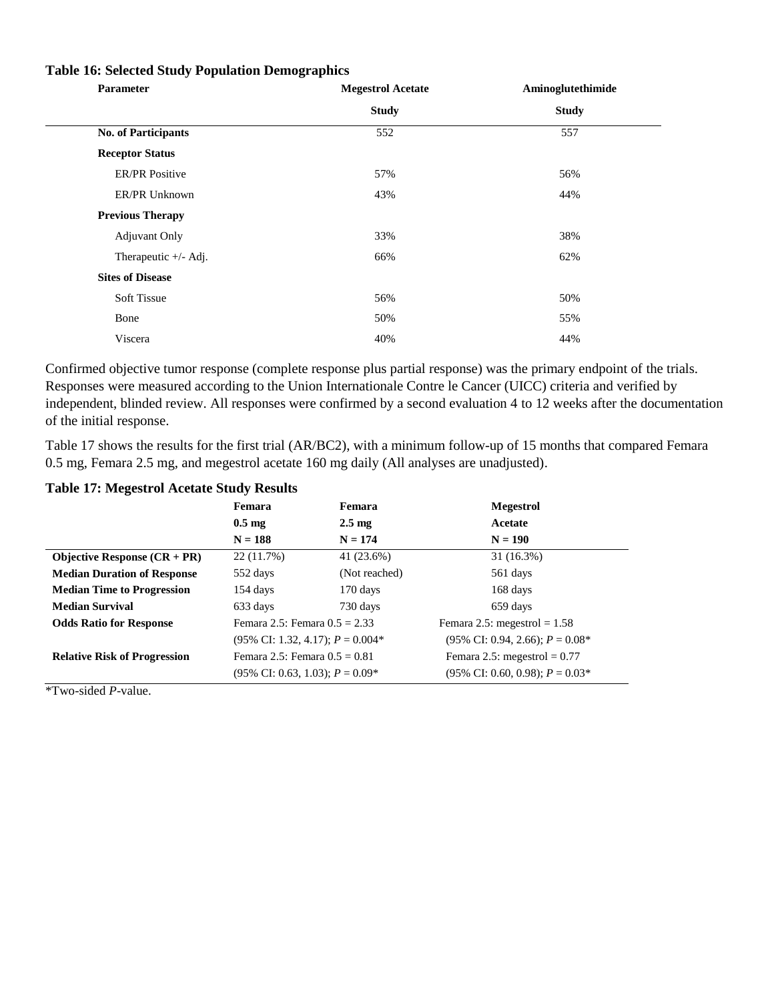| Parameter                  | <b>Megestrol Acetate</b> | Aminoglutethimide |
|----------------------------|--------------------------|-------------------|
|                            | <b>Study</b>             | <b>Study</b>      |
| <b>No. of Participants</b> | 552                      | 557               |
| <b>Receptor Status</b>     |                          |                   |
| <b>ER/PR Positive</b>      | 57%                      | 56%               |
| ER/PR Unknown              | 43%                      | 44%               |
| <b>Previous Therapy</b>    |                          |                   |
| <b>Adjuvant Only</b>       | 33%                      | 38%               |
| Therapeutic $+/-$ Adj.     | 66%                      | 62%               |
| <b>Sites of Disease</b>    |                          |                   |
| <b>Soft Tissue</b>         | 56%                      | 50%               |
| Bone                       | 50%                      | 55%               |
| Viscera                    | 40%                      | 44%               |

#### **Table 16: Selected Study Population Demographics**

Confirmed objective tumor response (complete response plus partial response) was the primary endpoint of the trials. Responses were measured according to the Union Internationale Contre le Cancer (UICC) criteria and verified by independent, blinded review. All responses were confirmed by a second evaluation 4 to 12 weeks after the documentation of the initial response.

Table 17 shows the results for the first trial (AR/BC2), with a minimum follow-up of 15 months that compared Femara 0.5 mg, Femara 2.5 mg, and megestrol acetate 160 mg daily (All analyses are unadjusted).

#### **Table 17: Megestrol Acetate Study Results**

|                                     | Femara                                       | Femara           | <b>Megestrol</b>                            |
|-------------------------------------|----------------------------------------------|------------------|---------------------------------------------|
|                                     | 0.5 <sub>mg</sub>                            | $2.5 \text{ mg}$ | Acetate                                     |
|                                     | $N = 188$                                    | $N = 174$        | $N = 190$                                   |
| Objective Response $(CR + PR)$      | 22 (11.7%)                                   | 41 (23.6%)       | 31 (16.3%)                                  |
| <b>Median Duration of Response</b>  | 552 days                                     | (Not reached)    | 561 days                                    |
| <b>Median Time to Progression</b>   | 154 days                                     | 170 days         | 168 days                                    |
| <b>Median Survival</b>              | 633 days                                     | 730 days         | 659 days                                    |
| <b>Odds Ratio for Response</b>      | Femara 2.5: Femara $0.5 = 2.33$              |                  | Femara 2.5: megestrol = $1.58$              |
|                                     | $(95\% \text{ CI: } 1.32, 4.17); P = 0.004*$ |                  | $(95\% \text{ CI: } 0.94, 2.66); P = 0.08*$ |
| <b>Relative Risk of Progression</b> | Femara 2.5: Femara $0.5 = 0.81$              |                  | Femara 2.5: megestrol = $0.77$              |
|                                     | $(95\% \text{ CI: } 0.63, 1.03); P = 0.09*$  |                  | $(95\% \text{ CI: } 0.60, 0.98); P = 0.03*$ |

\*Two-sided *P*-value.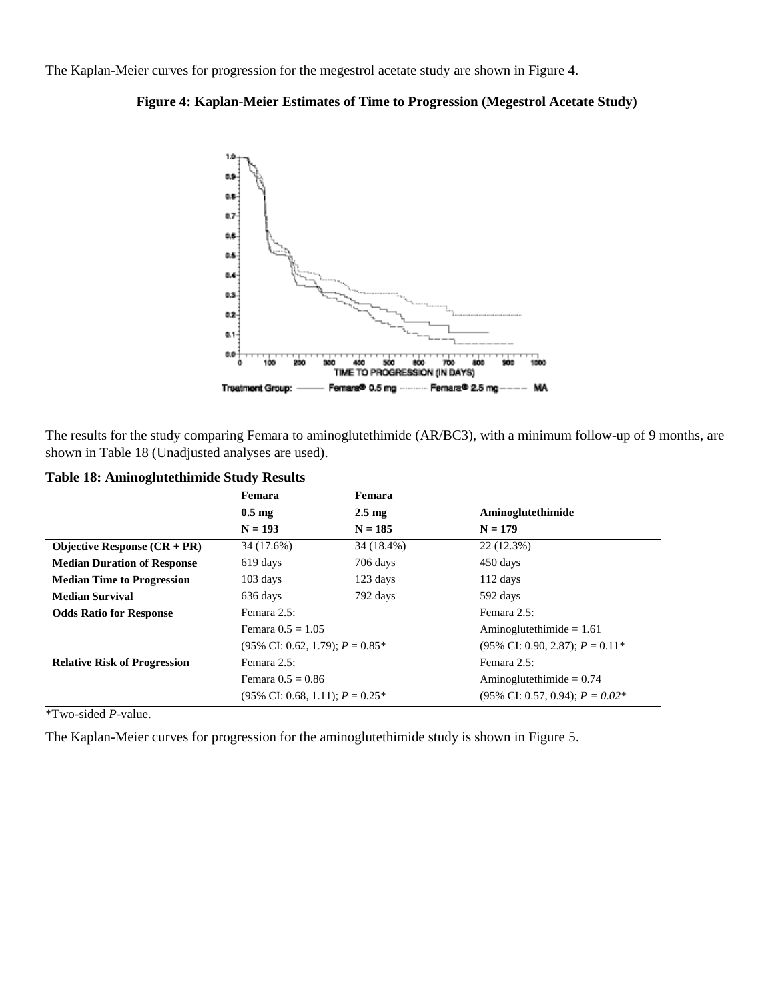The Kaplan-Meier curves for progression for the megestrol acetate study are shown in Figure 4.





The results for the study comparing Femara to aminoglutethimide (AR/BC3), with a minimum follow-up of 9 months, are shown in Table 18 (Unadjusted analyses are used).

|                                                  | Femara                                                                 | Femara           |                                                |
|--------------------------------------------------|------------------------------------------------------------------------|------------------|------------------------------------------------|
|                                                  | $0.5 \text{ mg}$                                                       | $2.5 \text{ mg}$ | Aminoglutethimide                              |
|                                                  | $N = 193$                                                              | $N = 185$        | $N = 179$                                      |
| <b>Objective Response <math>(CR + PR)</math></b> | 34 (17.6%)                                                             | 34 (18.4%)       | 22 (12.3%)                                     |
| <b>Median Duration of Response</b>               | 619 days                                                               | 706 days         | 450 days                                       |
| <b>Median Time to Progression</b>                | $103$ days                                                             | 123 days         | $112$ days                                     |
| <b>Median Survival</b>                           | 636 days                                                               | 792 days         | 592 days                                       |
| <b>Odds Ratio for Response</b>                   | Femara 2.5:                                                            |                  | Femara 2.5:                                    |
|                                                  | Femara $0.5 = 1.05$<br>$(95\% \text{ CI: } 0.62, 1.79)$ ; $P = 0.85^*$ |                  | Aminoglutethimide = $1.61$                     |
|                                                  |                                                                        |                  | $(95\% \text{ CI: } 0.90, 2.87)$ : $P = 0.11*$ |
| <b>Relative Risk of Progression</b>              | Femara 2.5:                                                            |                  | Femara 2.5:                                    |
|                                                  | Femara $0.5 = 0.86$                                                    |                  | Aminoglutethimide = $0.74$                     |
|                                                  | $(95\% \text{ CI: } 0.68, 1.11); P = 0.25^*$                           |                  | $(95\% \text{ CI: } 0.57, 0.94); P = 0.02*$    |

**Table 18: Aminoglutethimide Study Results**

\*Two-sided *P*-value.

The Kaplan-Meier curves for progression for the aminoglutethimide study is shown in Figure 5.